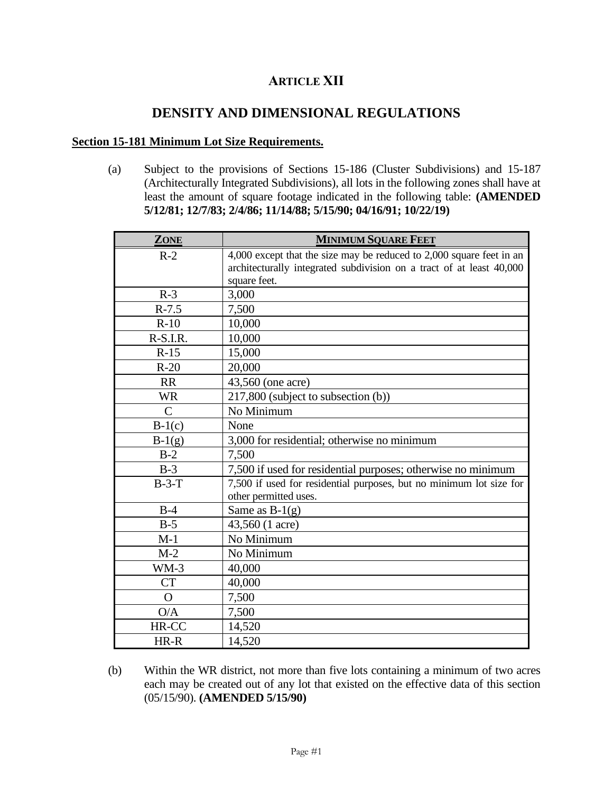# **ARTICLE XII**

# **DENSITY AND DIMENSIONAL REGULATIONS**

#### **Section 15-181 Minimum Lot Size Requirements.**

(a) Subject to the provisions of Sections 15-186 (Cluster Subdivisions) and 15-187 (Architecturally Integrated Subdivisions), all lots in the following zones shall have at least the amount of square footage indicated in the following table: **(AMENDED 5/12/81; 12/7/83; 2/4/86; 11/14/88; 5/15/90; 04/16/91; 10/22/19)**

| ZONE           | <b>MINIMUM SQUARE FEET</b>                                                                   |  |
|----------------|----------------------------------------------------------------------------------------------|--|
| $R-2$          | 4,000 except that the size may be reduced to 2,000 square feet in an                         |  |
|                | architecturally integrated subdivision on a tract of at least 40,000                         |  |
|                | square feet.                                                                                 |  |
| $R-3$          | 3,000                                                                                        |  |
| $R-7.5$        | 7,500                                                                                        |  |
| $R-10$         | 10,000                                                                                       |  |
| $R-S.I.R.$     | 10,000                                                                                       |  |
| $R-15$         | 15,000                                                                                       |  |
| $R-20$         | 20,000                                                                                       |  |
| <b>RR</b>      | 43,560 (one acre)                                                                            |  |
| <b>WR</b>      | 217,800 (subject to subsection (b))                                                          |  |
| $\mathcal{C}$  | No Minimum                                                                                   |  |
| $B-1(c)$       | None                                                                                         |  |
| $B-1(g)$       | 3,000 for residential; otherwise no minimum                                                  |  |
| $B-2$          | 7,500                                                                                        |  |
| $B-3$          | 7,500 if used for residential purposes; otherwise no minimum                                 |  |
| $B-3-T$        | 7,500 if used for residential purposes, but no minimum lot size for<br>other permitted uses. |  |
| $B-4$          | Same as $B-1(g)$                                                                             |  |
| $B-5$          | 43,560 (1 acre)                                                                              |  |
| $M-1$          | No Minimum                                                                                   |  |
| $M-2$          | No Minimum                                                                                   |  |
|                |                                                                                              |  |
| $WM-3$         | 40,000                                                                                       |  |
| <b>CT</b>      | 40,000                                                                                       |  |
| $\overline{O}$ | 7,500                                                                                        |  |
| O/A            | 7,500                                                                                        |  |
| HR-CC          | 14,520                                                                                       |  |
| HR-R           | 14,520                                                                                       |  |

(b) Within the WR district, not more than five lots containing a minimum of two acres each may be created out of any lot that existed on the effective data of this section (05/15/90). **(AMENDED 5/15/90)**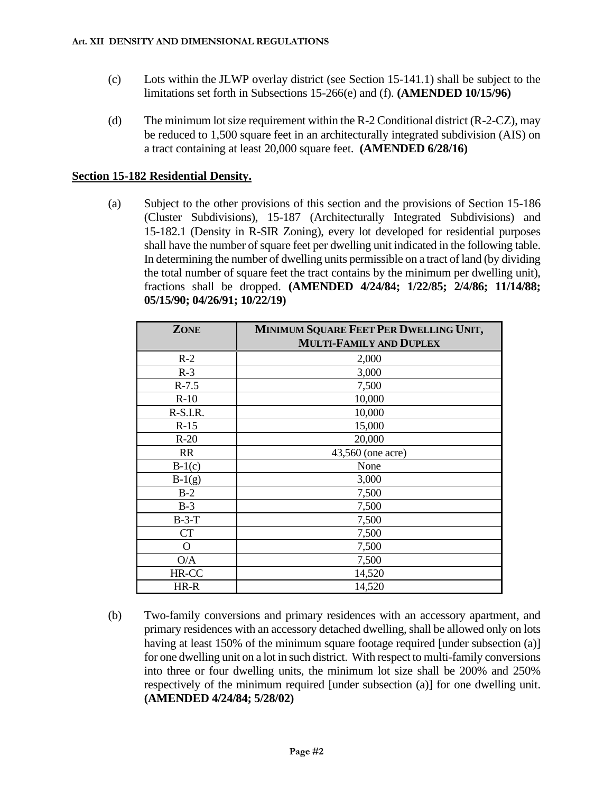- (c) Lots within the JLWP overlay district (see Section 15-141.1) shall be subject to the limitations set forth in Subsections 15-266(e) and (f). **(AMENDED 10/15/96)**
- (d) The minimum lot size requirement within the R-2 Conditional district (R-2-CZ), may be reduced to 1,500 square feet in an architecturally integrated subdivision (AIS) on a tract containing at least 20,000 square feet. **(AMENDED 6/28/16)**

### **Section 15-182 Residential Density.**

(a) Subject to the other provisions of this section and the provisions of Section 15-186 (Cluster Subdivisions), 15-187 (Architecturally Integrated Subdivisions) and 15-182.1 (Density in R-SIR Zoning), every lot developed for residential purposes shall have the number of square feet per dwelling unit indicated in the following table. In determining the number of dwelling units permissible on a tract of land (by dividing the total number of square feet the tract contains by the minimum per dwelling unit), fractions shall be dropped. **(AMENDED 4/24/84; 1/22/85; 2/4/86; 11/14/88; 05/15/90; 04/26/91; 10/22/19)**

| <b>ZONE</b> | MINIMUM SQUARE FEET PER DWELLING UNIT, |  |  |
|-------------|----------------------------------------|--|--|
|             | <b>MULTI-FAMILY AND DUPLEX</b>         |  |  |
| $R-2$       | 2,000                                  |  |  |
| $R-3$       | 3,000                                  |  |  |
| $R-7.5$     | 7,500                                  |  |  |
| $R-10$      | 10,000                                 |  |  |
| $R-S.I.R.$  | 10,000                                 |  |  |
| $R-15$      | 15,000                                 |  |  |
| $R-20$      | 20,000                                 |  |  |
| <b>RR</b>   | 43,560 (one acre)                      |  |  |
| $B-1(c)$    | None                                   |  |  |
| $B-1(g)$    | 3,000                                  |  |  |
| $B-2$       | 7,500                                  |  |  |
| $B-3$       | 7,500                                  |  |  |
| $B-3-T$     | 7,500                                  |  |  |
| <b>CT</b>   | 7,500                                  |  |  |
| O           | 7,500                                  |  |  |
| O/A         | 7,500                                  |  |  |
| HR-CC       | 14,520                                 |  |  |
| HR-R        | 14,520                                 |  |  |

(b) Two-family conversions and primary residences with an accessory apartment, and primary residences with an accessory detached dwelling, shall be allowed only on lots having at least 150% of the minimum square footage required [under subsection (a)] for one dwelling unit on a lot in such district. With respect to multi-family conversions into three or four dwelling units, the minimum lot size shall be 200% and 250% respectively of the minimum required [under subsection (a)] for one dwelling unit. **(AMENDED 4/24/84; 5/28/02)**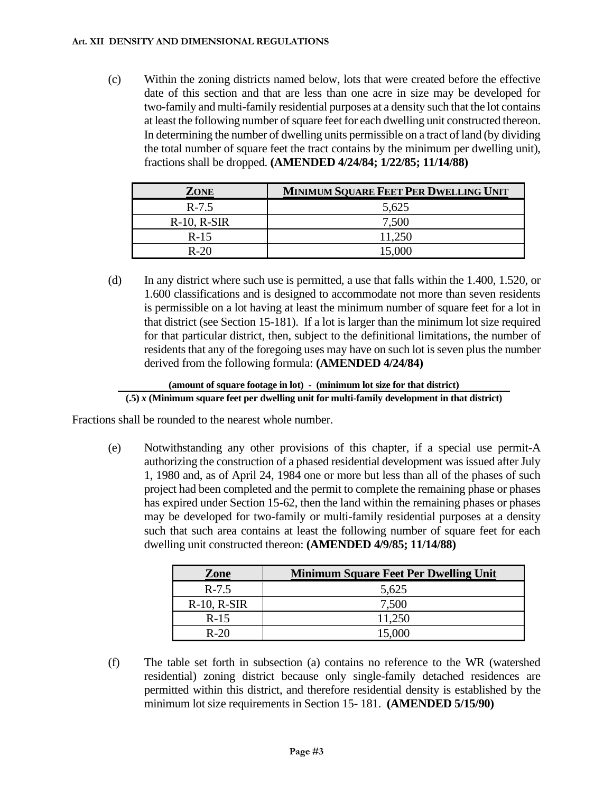#### **Art. XII DENSITY AND DIMENSIONAL REGULATIONS**

(c) Within the zoning districts named below, lots that were created before the effective date of this section and that are less than one acre in size may be developed for two-family and multi-family residential purposes at a density such that the lot contains at least the following number of square feet for each dwelling unit constructed thereon. In determining the number of dwelling units permissible on a tract of land (by dividing the total number of square feet the tract contains by the minimum per dwelling unit), fractions shall be dropped. **(AMENDED 4/24/84; 1/22/85; 11/14/88)**

| ZONE             | <b>MINIMUM SQUARE FEET PER DWELLING UNIT</b> |
|------------------|----------------------------------------------|
| $R-7.5$          | 5,625                                        |
| $R-10$ , $R-SIR$ | 7,500                                        |
| $R-15$           | 11,250                                       |
| $R-20$           | 15.000                                       |

(d) In any district where such use is permitted, a use that falls within the 1.400, 1.520, or 1.600 classifications and is designed to accommodate not more than seven residents is permissible on a lot having at least the minimum number of square feet for a lot in that district (see Section 15-181). If a lot is larger than the minimum lot size required for that particular district, then, subject to the definitional limitations, the number of residents that any of the foregoing uses may have on such lot is seven plus the number derived from the following formula: **(AMENDED 4/24/84)** 

#### **(amount of square footage in lot) - (minimum lot size for that district) (.5)** *x* **(Minimum square feet per dwelling unit for multi-family development in that district)**

Fractions shall be rounded to the nearest whole number.

(e) Notwithstanding any other provisions of this chapter, if a special use permit-A authorizing the construction of a phased residential development was issued after July 1, 1980 and, as of April 24, 1984 one or more but less than all of the phases of such project had been completed and the permit to complete the remaining phase or phases has expired under Section 15-62, then the land within the remaining phases or phases may be developed for two-family or multi-family residential purposes at a density such that such area contains at least the following number of square feet for each dwelling unit constructed thereon: **(AMENDED 4/9/85; 11/14/88)**

| Zone             | <b>Minimum Square Feet Per Dwelling Unit</b> |
|------------------|----------------------------------------------|
| $R - 7.5$        | 5,625                                        |
| $R-10$ , $R-SIR$ | 7,500                                        |
| $R-15$           | 11,250                                       |
| $R - 20$         | 15,000                                       |

(f) The table set forth in subsection (a) contains no reference to the WR (watershed residential) zoning district because only single-family detached residences are permitted within this district, and therefore residential density is established by the minimum lot size requirements in Section 15- 181. **(AMENDED 5/15/90)**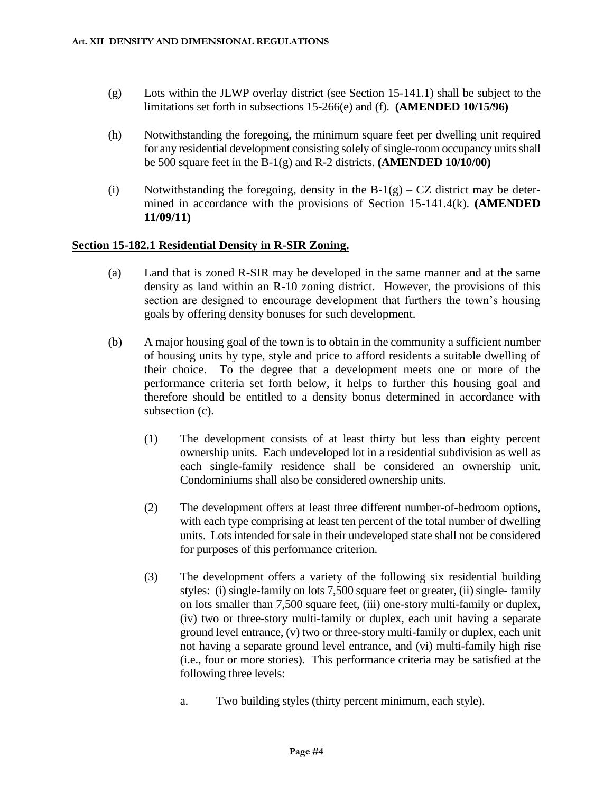- (g) Lots within the JLWP overlay district (see Section 15-141.1) shall be subject to the limitations set forth in subsections 15-266(e) and (f). **(AMENDED 10/15/96)**
- (h) Notwithstanding the foregoing, the minimum square feet per dwelling unit required for any residential development consisting solely of single-room occupancy units shall be 500 square feet in the B-1(g) and R-2 districts. **(AMENDED 10/10/00)**
- (i) Notwithstanding the foregoing, density in the  $B-1(g) CZ$  district may be determined in accordance with the provisions of Section 15-141.4(k). **(AMENDED 11/09/11)**

## **Section 15-182.1 Residential Density in R-SIR Zoning.**

- (a) Land that is zoned R-SIR may be developed in the same manner and at the same density as land within an R-10 zoning district. However, the provisions of this section are designed to encourage development that furthers the town's housing goals by offering density bonuses for such development.
- (b) A major housing goal of the town is to obtain in the community a sufficient number of housing units by type, style and price to afford residents a suitable dwelling of their choice. To the degree that a development meets one or more of the performance criteria set forth below, it helps to further this housing goal and therefore should be entitled to a density bonus determined in accordance with subsection (c).
	- (1) The development consists of at least thirty but less than eighty percent ownership units. Each undeveloped lot in a residential subdivision as well as each single-family residence shall be considered an ownership unit. Condominiums shall also be considered ownership units.
	- (2) The development offers at least three different number-of-bedroom options, with each type comprising at least ten percent of the total number of dwelling units. Lots intended for sale in their undeveloped state shall not be considered for purposes of this performance criterion.
	- (3) The development offers a variety of the following six residential building styles: (i) single-family on lots 7,500 square feet or greater, (ii) single- family on lots smaller than 7,500 square feet, (iii) one-story multi-family or duplex, (iv) two or three-story multi-family or duplex, each unit having a separate ground level entrance, (v) two or three-story multi-family or duplex, each unit not having a separate ground level entrance, and (vi) multi-family high rise (i.e., four or more stories). This performance criteria may be satisfied at the following three levels:
		- a. Two building styles (thirty percent minimum, each style).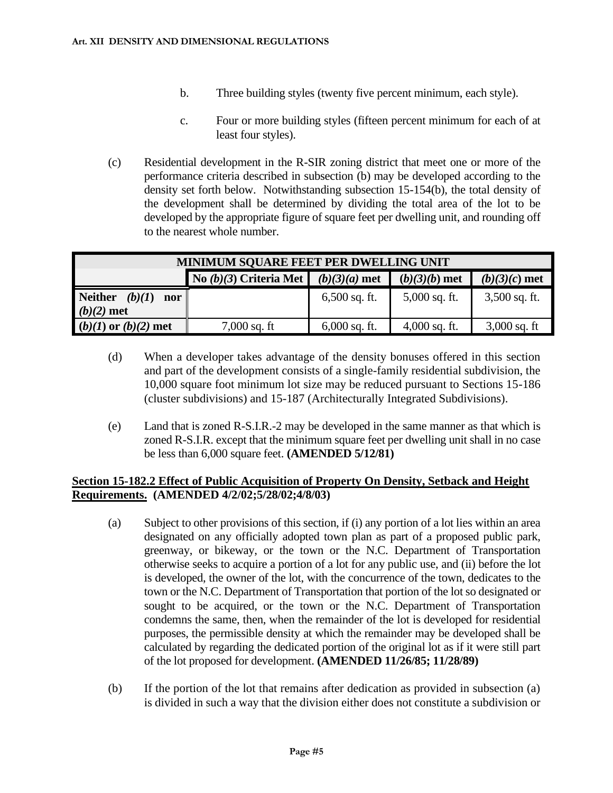- b. Three building styles (twenty five percent minimum, each style).
- c. Four or more building styles (fifteen percent minimum for each of at least four styles).
- (c) Residential development in the R-SIR zoning district that meet one or more of the performance criteria described in subsection (b) may be developed according to the density set forth below. Notwithstanding subsection 15-154(b), the total density of the development shall be determined by dividing the total area of the lot to be developed by the appropriate figure of square feet per dwelling unit, and rounding off to the nearest whole number.

| <b>MINIMUM SQUARE FEET PER DWELLING UNIT</b>    |                                             |                 |                 |                 |  |
|-------------------------------------------------|---------------------------------------------|-----------------|-----------------|-----------------|--|
|                                                 | No (b)(3) Criteria Met $\mid (b)(3)(a)$ met |                 | $(b)(3)(b)$ met | $(b)(3)(c)$ met |  |
| <b>Neither</b><br>(b)(I)<br>nor<br>$(b)(2)$ met |                                             | $6,500$ sq. ft. | $5,000$ sq. ft. | $3,500$ sq. ft. |  |
| $(b)(1)$ or $(b)(2)$ met                        | $7,000$ sq. ft                              | $6,000$ sq. ft. | $4,000$ sq. ft. | $3,000$ sq. ft  |  |

- (d) When a developer takes advantage of the density bonuses offered in this section and part of the development consists of a single-family residential subdivision, the 10,000 square foot minimum lot size may be reduced pursuant to Sections 15-186 (cluster subdivisions) and 15-187 (Architecturally Integrated Subdivisions).
- (e) Land that is zoned R-S.I.R.-2 may be developed in the same manner as that which is zoned R-S.I.R. except that the minimum square feet per dwelling unit shall in no case be less than 6,000 square feet. **(AMENDED 5/12/81)**

## **Section 15-182.2 Effect of Public Acquisition of Property On Density, Setback and Height Requirements. (AMENDED 4/2/02;5/28/02;4/8/03)**

- (a) Subject to other provisions of this section, if (i) any portion of a lot lies within an area designated on any officially adopted town plan as part of a proposed public park, greenway, or bikeway, or the town or the N.C. Department of Transportation otherwise seeks to acquire a portion of a lot for any public use, and (ii) before the lot is developed, the owner of the lot, with the concurrence of the town, dedicates to the town or the N.C. Department of Transportation that portion of the lot so designated or sought to be acquired, or the town or the N.C. Department of Transportation condemns the same, then, when the remainder of the lot is developed for residential purposes, the permissible density at which the remainder may be developed shall be calculated by regarding the dedicated portion of the original lot as if it were still part of the lot proposed for development. **(AMENDED 11/26/85; 11/28/89)**
- (b) If the portion of the lot that remains after dedication as provided in subsection (a) is divided in such a way that the division either does not constitute a subdivision or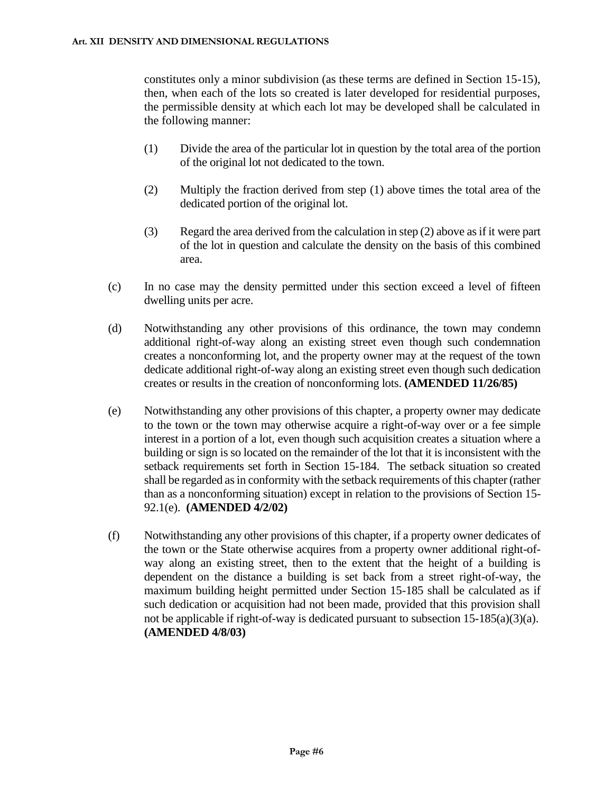constitutes only a minor subdivision (as these terms are defined in Section 15-15), then, when each of the lots so created is later developed for residential purposes, the permissible density at which each lot may be developed shall be calculated in the following manner:

- (1) Divide the area of the particular lot in question by the total area of the portion of the original lot not dedicated to the town.
- (2) Multiply the fraction derived from step (1) above times the total area of the dedicated portion of the original lot.
- (3) Regard the area derived from the calculation in step (2) above as if it were part of the lot in question and calculate the density on the basis of this combined area.
- (c) In no case may the density permitted under this section exceed a level of fifteen dwelling units per acre.
- (d) Notwithstanding any other provisions of this ordinance, the town may condemn additional right-of-way along an existing street even though such condemnation creates a nonconforming lot, and the property owner may at the request of the town dedicate additional right-of-way along an existing street even though such dedication creates or results in the creation of nonconforming lots. **(AMENDED 11/26/85)**
- (e) Notwithstanding any other provisions of this chapter, a property owner may dedicate to the town or the town may otherwise acquire a right-of-way over or a fee simple interest in a portion of a lot, even though such acquisition creates a situation where a building or sign is so located on the remainder of the lot that it is inconsistent with the setback requirements set forth in Section 15-184. The setback situation so created shall be regarded as in conformity with the setback requirements of this chapter (rather than as a nonconforming situation) except in relation to the provisions of Section 15- 92.1(e). **(AMENDED 4/2/02)**
- (f) Notwithstanding any other provisions of this chapter, if a property owner dedicates of the town or the State otherwise acquires from a property owner additional right-ofway along an existing street, then to the extent that the height of a building is dependent on the distance a building is set back from a street right-of-way, the maximum building height permitted under Section 15-185 shall be calculated as if such dedication or acquisition had not been made, provided that this provision shall not be applicable if right-of-way is dedicated pursuant to subsection 15-185(a)(3)(a). **(AMENDED 4/8/03)**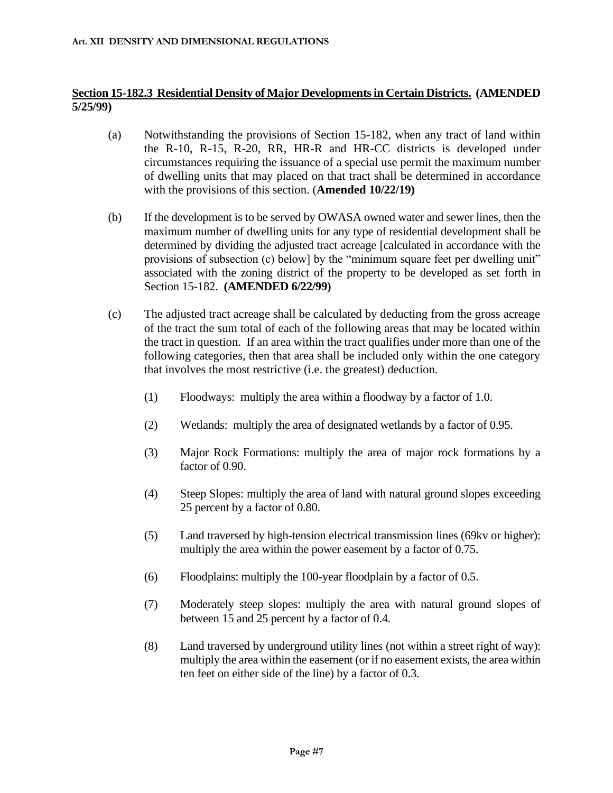## **Section 15-182.3 Residential Density of Major Developments in Certain Districts. (AMENDED 5/25/99)**

- (a) Notwithstanding the provisions of Section 15-182, when any tract of land within the R-10, R-15, R-20, RR, HR-R and HR-CC districts is developed under circumstances requiring the issuance of a special use permit the maximum number of dwelling units that may placed on that tract shall be determined in accordance with the provisions of this section. (**Amended 10/22/19)**
- (b) If the development is to be served by OWASA owned water and sewer lines, then the maximum number of dwelling units for any type of residential development shall be determined by dividing the adjusted tract acreage [calculated in accordance with the provisions of subsection (c) below] by the "minimum square feet per dwelling unit" associated with the zoning district of the property to be developed as set forth in Section 15-182. **(AMENDED 6/22/99)**
- (c) The adjusted tract acreage shall be calculated by deducting from the gross acreage of the tract the sum total of each of the following areas that may be located within the tract in question. If an area within the tract qualifies under more than one of the following categories, then that area shall be included only within the one category that involves the most restrictive (i.e. the greatest) deduction.
	- (1) Floodways: multiply the area within a floodway by a factor of 1.0.
	- (2) Wetlands: multiply the area of designated wetlands by a factor of 0.95.
	- (3) Major Rock Formations: multiply the area of major rock formations by a factor of 0.90.
	- (4) Steep Slopes: multiply the area of land with natural ground slopes exceeding 25 percent by a factor of 0.80.
	- (5) Land traversed by high-tension electrical transmission lines (69kv or higher): multiply the area within the power easement by a factor of 0.75.
	- (6) Floodplains: multiply the 100-year floodplain by a factor of 0.5.
	- (7) Moderately steep slopes: multiply the area with natural ground slopes of between 15 and 25 percent by a factor of 0.4.
	- (8) Land traversed by underground utility lines (not within a street right of way): multiply the area within the easement (or if no easement exists, the area within ten feet on either side of the line) by a factor of 0.3.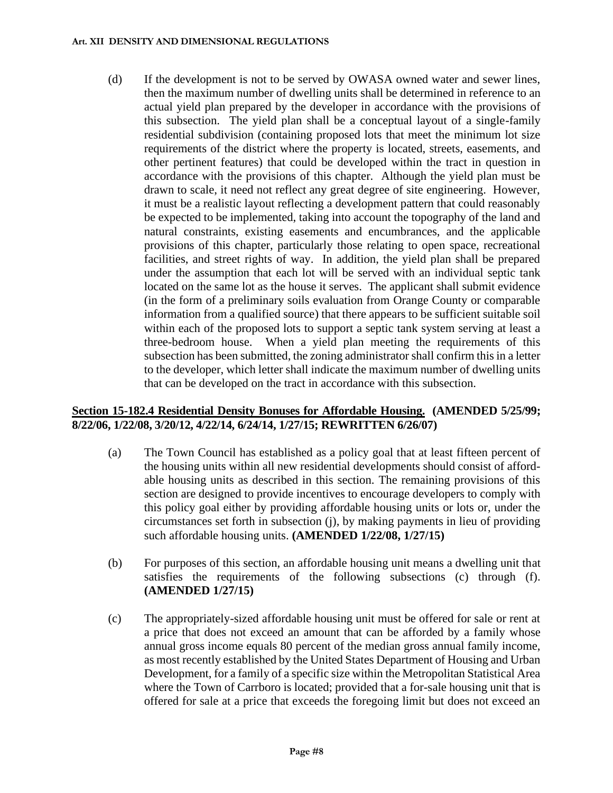(d) If the development is not to be served by OWASA owned water and sewer lines, then the maximum number of dwelling units shall be determined in reference to an actual yield plan prepared by the developer in accordance with the provisions of this subsection. The yield plan shall be a conceptual layout of a single-family residential subdivision (containing proposed lots that meet the minimum lot size requirements of the district where the property is located, streets, easements, and other pertinent features) that could be developed within the tract in question in accordance with the provisions of this chapter. Although the yield plan must be drawn to scale, it need not reflect any great degree of site engineering. However, it must be a realistic layout reflecting a development pattern that could reasonably be expected to be implemented, taking into account the topography of the land and natural constraints, existing easements and encumbrances, and the applicable provisions of this chapter, particularly those relating to open space, recreational facilities, and street rights of way. In addition, the yield plan shall be prepared under the assumption that each lot will be served with an individual septic tank located on the same lot as the house it serves. The applicant shall submit evidence (in the form of a preliminary soils evaluation from Orange County or comparable information from a qualified source) that there appears to be sufficient suitable soil within each of the proposed lots to support a septic tank system serving at least a three-bedroom house. When a yield plan meeting the requirements of this subsection has been submitted, the zoning administrator shall confirm this in a letter to the developer, which letter shall indicate the maximum number of dwelling units that can be developed on the tract in accordance with this subsection.

## **Section 15-182.4 Residential Density Bonuses for Affordable Housing. (AMENDED 5/25/99; 8/22/06, 1/22/08, 3/20/12, 4/22/14, 6/24/14, 1/27/15; REWRITTEN 6/26/07)**

- (a) The Town Council has established as a policy goal that at least fifteen percent of the housing units within all new residential developments should consist of affordable housing units as described in this section. The remaining provisions of this section are designed to provide incentives to encourage developers to comply with this policy goal either by providing affordable housing units or lots or, under the circumstances set forth in subsection (j), by making payments in lieu of providing such affordable housing units. **(AMENDED 1/22/08, 1/27/15)**
- (b) For purposes of this section, an affordable housing unit means a dwelling unit that satisfies the requirements of the following subsections (c) through (f). **(AMENDED 1/27/15)**
- (c) The appropriately-sized affordable housing unit must be offered for sale or rent at a price that does not exceed an amount that can be afforded by a family whose annual gross income equals 80 percent of the median gross annual family income, as most recently established by the United States Department of Housing and Urban Development, for a family of a specific size within the Metropolitan Statistical Area where the Town of Carrboro is located; provided that a for-sale housing unit that is offered for sale at a price that exceeds the foregoing limit but does not exceed an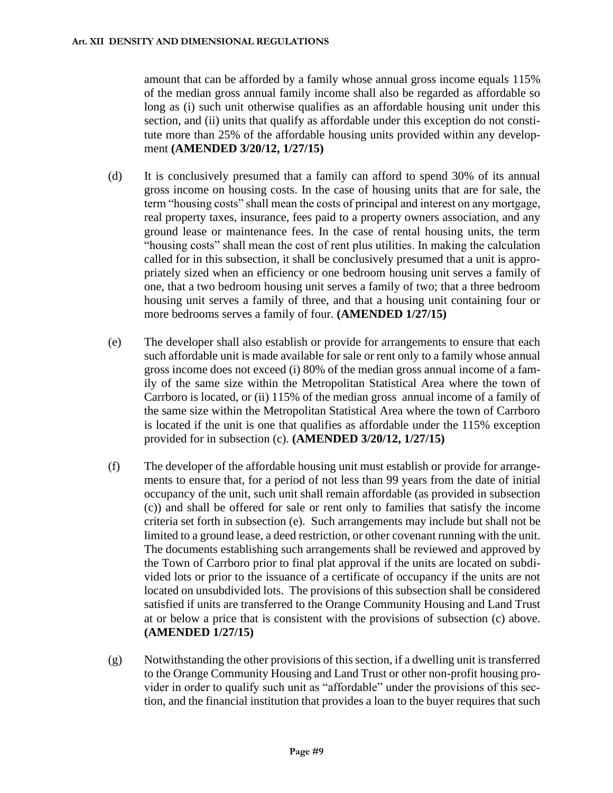amount that can be afforded by a family whose annual gross income equals 115% of the median gross annual family income shall also be regarded as affordable so long as (i) such unit otherwise qualifies as an affordable housing unit under this section, and (ii) units that qualify as affordable under this exception do not constitute more than 25% of the affordable housing units provided within any development **(AMENDED 3/20/12, 1/27/15)**

- (d) It is conclusively presumed that a family can afford to spend 30% of its annual gross income on housing costs. In the case of housing units that are for sale, the term "housing costs" shall mean the costs of principal and interest on any mortgage, real property taxes, insurance, fees paid to a property owners association, and any ground lease or maintenance fees. In the case of rental housing units, the term "housing costs" shall mean the cost of rent plus utilities. In making the calculation called for in this subsection, it shall be conclusively presumed that a unit is appropriately sized when an efficiency or one bedroom housing unit serves a family of one, that a two bedroom housing unit serves a family of two; that a three bedroom housing unit serves a family of three, and that a housing unit containing four or more bedrooms serves a family of four. **(AMENDED 1/27/15)**
- (e) The developer shall also establish or provide for arrangements to ensure that each such affordable unit is made available for sale or rent only to a family whose annual gross income does not exceed (i) 80% of the median gross annual income of a family of the same size within the Metropolitan Statistical Area where the town of Carrboro is located, or (ii) 115% of the median gross annual income of a family of the same size within the Metropolitan Statistical Area where the town of Carrboro is located if the unit is one that qualifies as affordable under the 115% exception provided for in subsection (c). **(AMENDED 3/20/12, 1/27/15)**
- (f) The developer of the affordable housing unit must establish or provide for arrangements to ensure that, for a period of not less than 99 years from the date of initial occupancy of the unit, such unit shall remain affordable (as provided in subsection (c)) and shall be offered for sale or rent only to families that satisfy the income criteria set forth in subsection (e). Such arrangements may include but shall not be limited to a ground lease, a deed restriction, or other covenant running with the unit. The documents establishing such arrangements shall be reviewed and approved by the Town of Carrboro prior to final plat approval if the units are located on subdivided lots or prior to the issuance of a certificate of occupancy if the units are not located on unsubdivided lots. The provisions of this subsection shall be considered satisfied if units are transferred to the Orange Community Housing and Land Trust at or below a price that is consistent with the provisions of subsection (c) above. **(AMENDED 1/27/15)**
- (g) Notwithstanding the other provisions of this section, if a dwelling unit is transferred to the Orange Community Housing and Land Trust or other non-profit housing provider in order to qualify such unit as "affordable" under the provisions of this section, and the financial institution that provides a loan to the buyer requires that such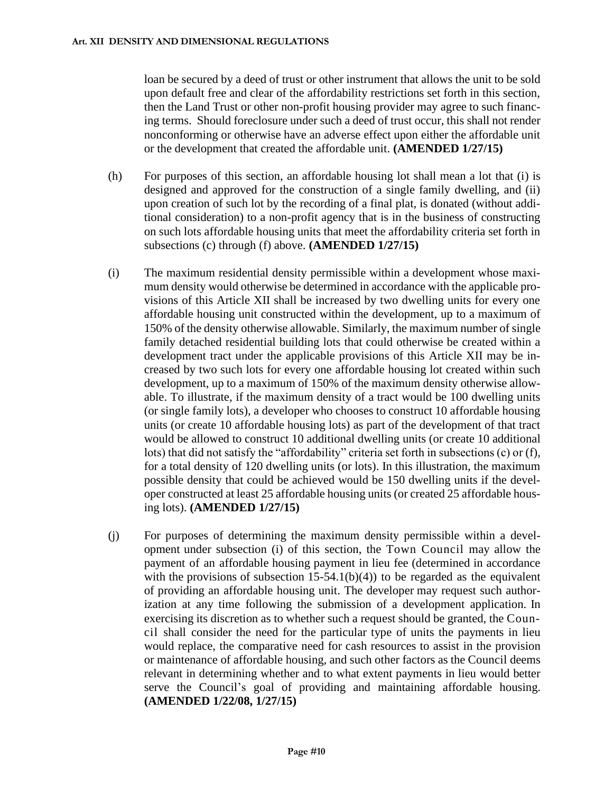loan be secured by a deed of trust or other instrument that allows the unit to be sold upon default free and clear of the affordability restrictions set forth in this section, then the Land Trust or other non-profit housing provider may agree to such financing terms. Should foreclosure under such a deed of trust occur, this shall not render nonconforming or otherwise have an adverse effect upon either the affordable unit or the development that created the affordable unit. **(AMENDED 1/27/15)**

- (h) For purposes of this section, an affordable housing lot shall mean a lot that (i) is designed and approved for the construction of a single family dwelling, and (ii) upon creation of such lot by the recording of a final plat, is donated (without additional consideration) to a non-profit agency that is in the business of constructing on such lots affordable housing units that meet the affordability criteria set forth in subsections (c) through (f) above. **(AMENDED 1/27/15)**
- (i) The maximum residential density permissible within a development whose maximum density would otherwise be determined in accordance with the applicable provisions of this Article XII shall be increased by two dwelling units for every one affordable housing unit constructed within the development, up to a maximum of 150% of the density otherwise allowable. Similarly, the maximum number of single family detached residential building lots that could otherwise be created within a development tract under the applicable provisions of this Article XII may be increased by two such lots for every one affordable housing lot created within such development, up to a maximum of 150% of the maximum density otherwise allowable. To illustrate, if the maximum density of a tract would be 100 dwelling units (or single family lots), a developer who chooses to construct 10 affordable housing units (or create 10 affordable housing lots) as part of the development of that tract would be allowed to construct 10 additional dwelling units (or create 10 additional lots) that did not satisfy the "affordability" criteria set forth in subsections (c) or (f), for a total density of 120 dwelling units (or lots). In this illustration, the maximum possible density that could be achieved would be 150 dwelling units if the developer constructed at least 25 affordable housing units (or created 25 affordable housing lots). **(AMENDED 1/27/15)**
- (j) For purposes of determining the maximum density permissible within a development under subsection (i) of this section, the Town Council may allow the payment of an affordable housing payment in lieu fee (determined in accordance with the provisions of subsection  $15-54.1(b)(4)$  to be regarded as the equivalent of providing an affordable housing unit. The developer may request such authorization at any time following the submission of a development application. In exercising its discretion as to whether such a request should be granted, the Council shall consider the need for the particular type of units the payments in lieu would replace, the comparative need for cash resources to assist in the provision or maintenance of affordable housing, and such other factors as the Council deems relevant in determining whether and to what extent payments in lieu would better serve the Council's goal of providing and maintaining affordable housing. **(AMENDED 1/22/08, 1/27/15)**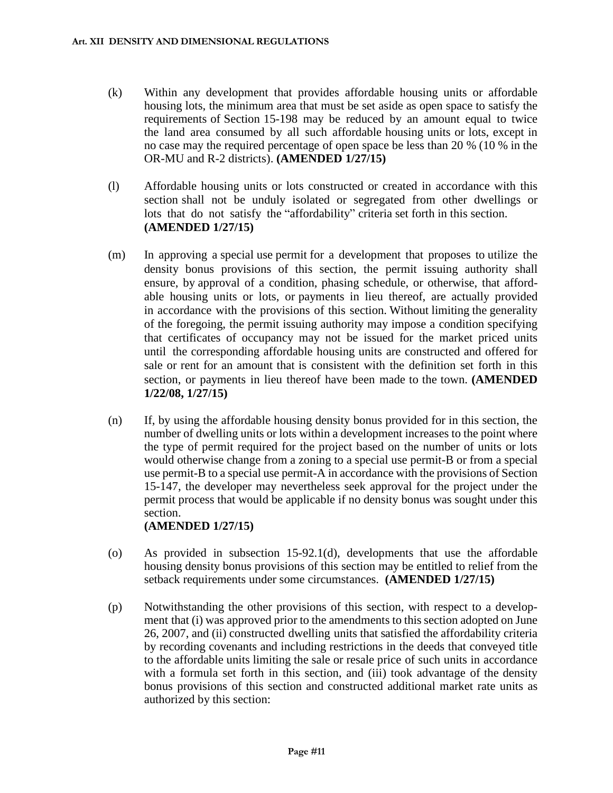- (k) Within any development that provides affordable housing units or affordable housing lots, the minimum area that must be set aside as open space to satisfy the requirements of Section 15-198 may be reduced by an amount equal to twice the land area consumed by all such affordable housing units or lots, except in no case may the required percentage of open space be less than 20 % (10 % in the OR-MU and R-2 districts). **(AMENDED 1/27/15)**
- (l) Affordable housing units or lots constructed or created in accordance with this section shall not be unduly isolated or segregated from other dwellings or lots that do not satisfy the "affordability" criteria set forth in this section. **(AMENDED 1/27/15)**
- (m) In approving a special use permit for a development that proposes to utilize the density bonus provisions of this section, the permit issuing authority shall ensure, by approval of a condition, phasing schedule, or otherwise, that affordable housing units or lots, or payments in lieu thereof, are actually provided in accordance with the provisions of this section. Without limiting the generality of the foregoing, the permit issuing authority may impose a condition specifying that certificates of occupancy may not be issued for the market priced units until the corresponding affordable housing units are constructed and offered for sale or rent for an amount that is consistent with the definition set forth in this section, or payments in lieu thereof have been made to the town. **(AMENDED 1/22/08, 1/27/15)**
- (n) If, by using the affordable housing density bonus provided for in this section, the number of dwelling units or lots within a development increases to the point where the type of permit required for the project based on the number of units or lots would otherwise change from a zoning to a special use permit-B or from a special use permit-B to a special use permit-A in accordance with the provisions of Section 15-147, the developer may nevertheless seek approval for the project under the permit process that would be applicable if no density bonus was sought under this section.

**(AMENDED 1/27/15)**

- (o) As provided in subsection 15-92.1(d), developments that use the affordable housing density bonus provisions of this section may be entitled to relief from the setback requirements under some circumstances. **(AMENDED 1/27/15)**
- (p) Notwithstanding the other provisions of this section, with respect to a development that (i) was approved prior to the amendments to this section adopted on June 26, 2007, and (ii) constructed dwelling units that satisfied the affordability criteria by recording covenants and including restrictions in the deeds that conveyed title to the affordable units limiting the sale or resale price of such units in accordance with a formula set forth in this section, and (iii) took advantage of the density bonus provisions of this section and constructed additional market rate units as authorized by this section: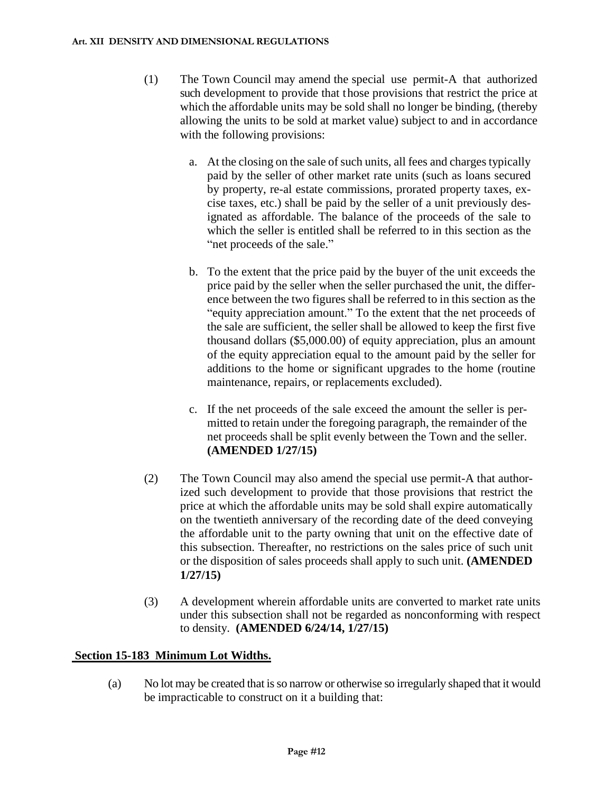- (1) The Town Council may amend the special use permit-A that authorized such development to provide that those provisions that restrict the price at which the affordable units may be sold shall no longer be binding, (thereby allowing the units to be sold at market value) subject to and in accordance with the following provisions:
	- a. At the closing on the sale of such units, all fees and charges typically paid by the seller of other market rate units (such as loans secured by property, re-al estate commissions, prorated property taxes, excise taxes, etc.) shall be paid by the seller of a unit previously designated as affordable. The balance of the proceeds of the sale to which the seller is entitled shall be referred to in this section as the "net proceeds of the sale."
	- b. To the extent that the price paid by the buyer of the unit exceeds the price paid by the seller when the seller purchased the unit, the difference between the two figures shall be referred to in this section as the "equity appreciation amount." To the extent that the net proceeds of the sale are sufficient, the seller shall be allowed to keep the first five thousand dollars (\$5,000.00) of equity appreciation, plus an amount of the equity appreciation equal to the amount paid by the seller for additions to the home or significant upgrades to the home (routine maintenance, repairs, or replacements excluded).
	- c. If the net proceeds of the sale exceed the amount the seller is permitted to retain under the foregoing paragraph, the remainder of the net proceeds shall be split evenly between the Town and the seller. **(AMENDED 1/27/15)**
- (2) The Town Council may also amend the special use permit-A that authorized such development to provide that those provisions that restrict the price at which the affordable units may be sold shall expire automatically on the twentieth anniversary of the recording date of the deed conveying the affordable unit to the party owning that unit on the effective date of this subsection. Thereafter, no restrictions on the sales price of such unit or the disposition of sales proceeds shall apply to such unit. **(AMENDED 1/27/15)**
- (3) A development wherein affordable units are converted to market rate units under this subsection shall not be regarded as nonconforming with respect to density. **(AMENDED 6/24/14, 1/27/15)**

## **Section 15-183 Minimum Lot Widths.**

(a) No lot may be created that is so narrow or otherwise so irregularly shaped that it would be impracticable to construct on it a building that: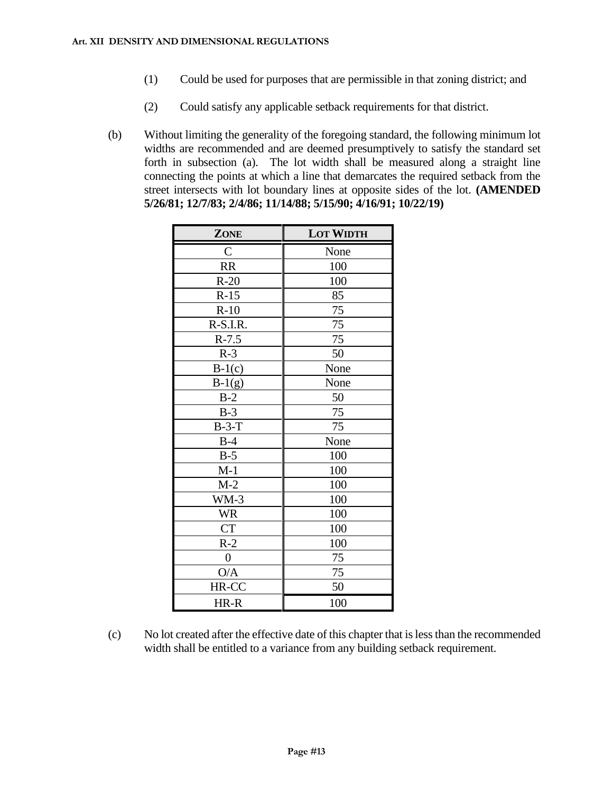- (1) Could be used for purposes that are permissible in that zoning district; and
- (2) Could satisfy any applicable setback requirements for that district.
- (b) Without limiting the generality of the foregoing standard, the following minimum lot widths are recommended and are deemed presumptively to satisfy the standard set forth in subsection (a). The lot width shall be measured along a straight line connecting the points at which a line that demarcates the required setback from the street intersects with lot boundary lines at opposite sides of the lot. **(AMENDED 5/26/81; 12/7/83; 2/4/86; 11/14/88; 5/15/90; 4/16/91; 10/22/19)**

| ZONE             | <b>LOT WIDTH</b> |  |  |
|------------------|------------------|--|--|
| $\overline{C}$   | None             |  |  |
| <b>RR</b>        | 100              |  |  |
| $R-20$           | 100              |  |  |
| $R-15$           | 85               |  |  |
| $R-10$           | 75               |  |  |
| R-S.I.R.         | 75               |  |  |
| $R-7.5$          | 75               |  |  |
| $R-3$            | 50               |  |  |
| $B-1(c)$         | None             |  |  |
| $B-1(g)$         | None             |  |  |
| $B-2$            | 50               |  |  |
| $B-3$            | 75               |  |  |
| $B-3-T$          | 75               |  |  |
| $B-4$            | None             |  |  |
| $B-5$            | 100              |  |  |
| $M-1$            | 100              |  |  |
| $M-2$            | 100              |  |  |
| $WM-3$           | 100              |  |  |
| <b>WR</b>        | 100              |  |  |
| <b>CT</b>        | 100              |  |  |
| $R-2$            | 100              |  |  |
| $\boldsymbol{0}$ | 75               |  |  |
| O/A              | 75               |  |  |
| HR-CC            | 50               |  |  |
| HR-R             | 100              |  |  |

(c) No lot created after the effective date of this chapter that is less than the recommended width shall be entitled to a variance from any building setback requirement.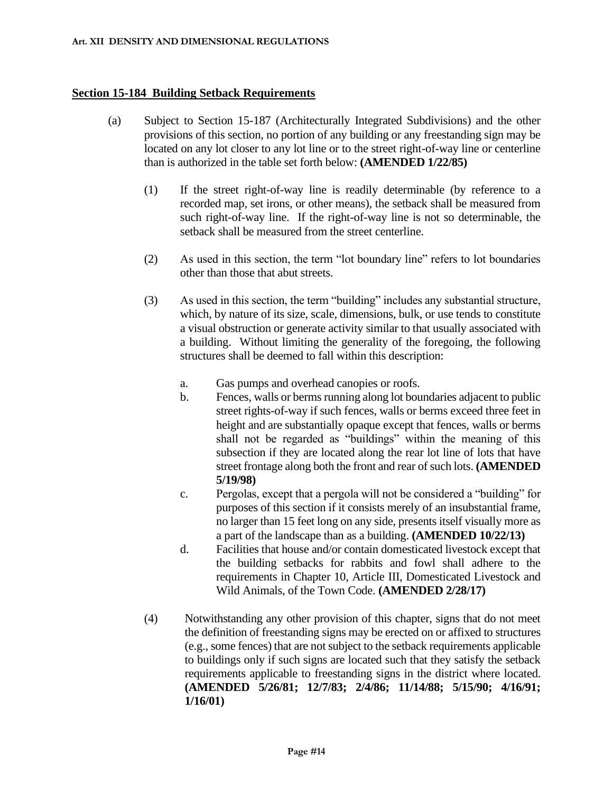#### **Section 15-184 Building Setback Requirements**

- (a) Subject to Section 15-187 (Architecturally Integrated Subdivisions) and the other provisions of this section, no portion of any building or any freestanding sign may be located on any lot closer to any lot line or to the street right-of-way line or centerline than is authorized in the table set forth below: **(AMENDED 1/22/85)**
	- (1) If the street right-of-way line is readily determinable (by reference to a recorded map, set irons, or other means), the setback shall be measured from such right-of-way line. If the right-of-way line is not so determinable, the setback shall be measured from the street centerline.
	- (2) As used in this section, the term "lot boundary line" refers to lot boundaries other than those that abut streets.
	- (3) As used in this section, the term "building" includes any substantial structure, which, by nature of its size, scale, dimensions, bulk, or use tends to constitute a visual obstruction or generate activity similar to that usually associated with a building. Without limiting the generality of the foregoing, the following structures shall be deemed to fall within this description:
		- a. Gas pumps and overhead canopies or roofs.
		- b. Fences, walls or berms running along lot boundaries adjacent to public street rights-of-way if such fences, walls or berms exceed three feet in height and are substantially opaque except that fences, walls or berms shall not be regarded as "buildings" within the meaning of this subsection if they are located along the rear lot line of lots that have street frontage along both the front and rear of such lots. **(AMENDED 5/19/98)**
		- c. Pergolas, except that a pergola will not be considered a "building" for purposes of this section if it consists merely of an insubstantial frame, no larger than 15 feet long on any side, presents itself visually more as a part of the landscape than as a building. **(AMENDED 10/22/13)**
		- d. Facilities that house and/or contain domesticated livestock except that the building setbacks for rabbits and fowl shall adhere to the requirements in Chapter 10, Article III, Domesticated Livestock and Wild Animals, of the Town Code. **(AMENDED 2/28/17)**
	- (4) Notwithstanding any other provision of this chapter, signs that do not meet the definition of freestanding signs may be erected on or affixed to structures (e.g., some fences) that are not subject to the setback requirements applicable to buildings only if such signs are located such that they satisfy the setback requirements applicable to freestanding signs in the district where located. **(AMENDED 5/26/81; 12/7/83; 2/4/86; 11/14/88; 5/15/90; 4/16/91; 1/16/01)**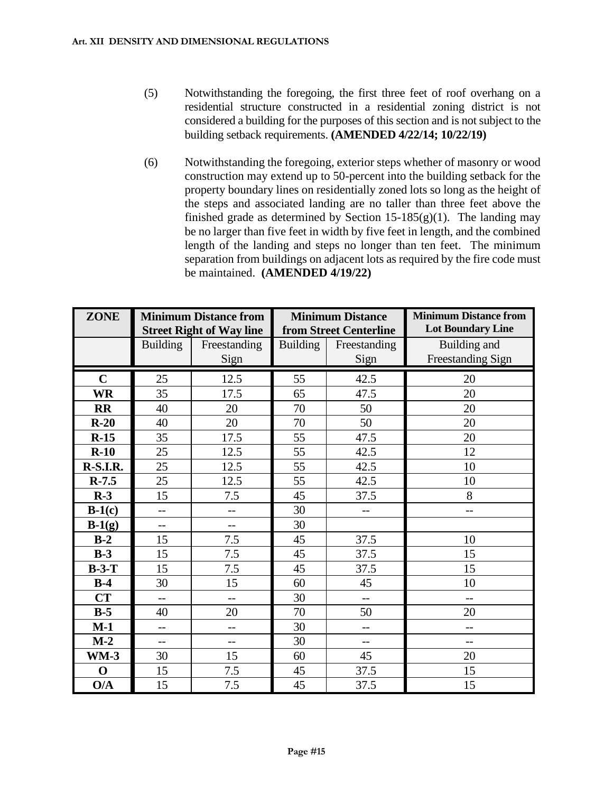- (5) Notwithstanding the foregoing, the first three feet of roof overhang on a residential structure constructed in a residential zoning district is not considered a building for the purposes of this section and is not subject to the building setback requirements. **(AMENDED 4/22/14; 10/22/19)**
- (6) Notwithstanding the foregoing, exterior steps whether of masonry or wood construction may extend up to 50-percent into the building setback for the property boundary lines on residentially zoned lots so long as the height of the steps and associated landing are no taller than three feet above the finished grade as determined by Section  $15-185(g)(1)$ . The landing may be no larger than five feet in width by five feet in length, and the combined length of the landing and steps no longer than ten feet. The minimum separation from buildings on adjacent lots as required by the fire code must be maintained. **(AMENDED 4/19/22)**

| <b>ZONE</b> | <b>Minimum Distance from</b><br><b>Street Right of Way line</b> |              | <b>Minimum Distance</b><br>from Street Centerline |              | <b>Minimum Distance from</b><br><b>Lot Boundary Line</b> |
|-------------|-----------------------------------------------------------------|--------------|---------------------------------------------------|--------------|----------------------------------------------------------|
|             | <b>Building</b>                                                 | Freestanding | <b>Building</b>                                   | Freestanding | Building and                                             |
|             |                                                                 | Sign         |                                                   | Sign         | <b>Freestanding Sign</b>                                 |
| $\mathbf C$ | 25                                                              | 12.5         | 55                                                | 42.5         | 20                                                       |
| <b>WR</b>   | 35                                                              | 17.5         | 65                                                | 47.5         | 20                                                       |
| <b>RR</b>   | 40                                                              | 20           | 70                                                | 50           | 20                                                       |
| $R-20$      | 40                                                              | 20           | 70                                                | 50           | 20                                                       |
| $R-15$      | 35                                                              | 17.5         | 55                                                | 47.5         | 20                                                       |
| $R-10$      | 25                                                              | 12.5         | 55                                                | 42.5         | 12                                                       |
| R-S.I.R.    | 25                                                              | 12.5         | 55                                                | 42.5         | 10                                                       |
| $R-7.5$     | 25                                                              | 12.5         | 55                                                | 42.5         | 10                                                       |
| $R-3$       | 15                                                              | 7.5          | 45                                                | 37.5         | 8                                                        |
| $B-1(c)$    | $-$                                                             | $-$          | 30                                                | $-$          | $-$                                                      |
| $B-1(g)$    | $-$                                                             | $-$          | 30                                                |              |                                                          |
| $B-2$       | 15                                                              | 7.5          | 45                                                | 37.5         | 10                                                       |
| $B-3$       | 15                                                              | 7.5          | 45                                                | 37.5         | 15                                                       |
| $B-3-T$     | 15                                                              | 7.5          | 45                                                | 37.5         | 15                                                       |
| $B-4$       | 30                                                              | 15           | 60                                                | 45           | 10                                                       |
| CT          | $-$                                                             | $-$          | 30                                                | $-$          | $-$                                                      |
| $B-5$       | 40                                                              | 20           | 70                                                | 50           | 20                                                       |
| $M-1$       | $-$                                                             | $-$          | 30                                                | $-$          | --                                                       |
| $M-2$       | $-$                                                             | $-$          | 30                                                | --           | $-1$                                                     |
| $WM-3$      | 30                                                              | 15           | 60                                                | 45           | 20                                                       |
| $\mathbf 0$ | 15                                                              | 7.5          | 45                                                | 37.5         | 15                                                       |
| O/A         | 15                                                              | 7.5          | 45                                                | 37.5         | 15                                                       |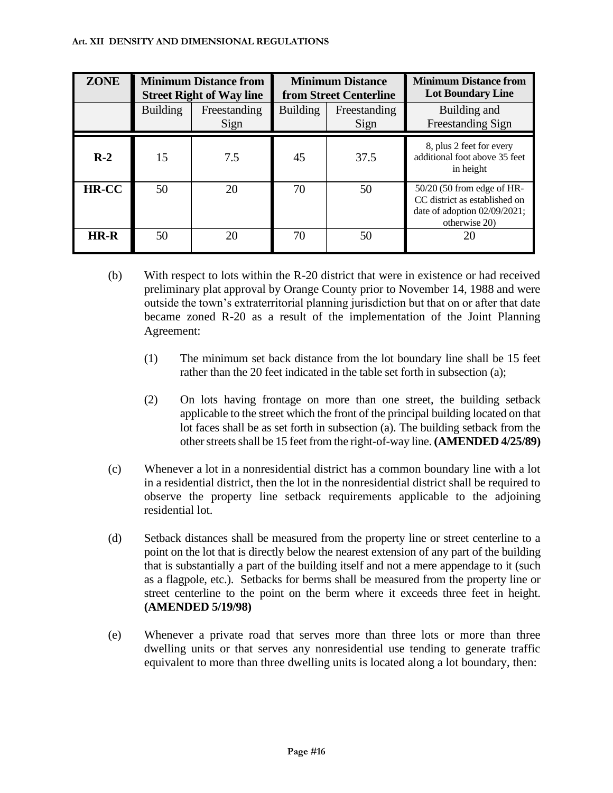#### **Art. XII DENSITY AND DIMENSIONAL REGULATIONS**

| <b>ZONE</b> | <b>Minimum Distance from</b><br><b>Street Right of Way line</b> |                      | <b>Minimum Distance</b><br>from Street Centerline |                      | <b>Minimum Distance from</b><br><b>Lot Boundary Line</b>                                                     |
|-------------|-----------------------------------------------------------------|----------------------|---------------------------------------------------|----------------------|--------------------------------------------------------------------------------------------------------------|
|             | <b>Building</b>                                                 | Freestanding<br>Sign | <b>Building</b>                                   | Freestanding<br>Sign | Building and<br><b>Freestanding Sign</b>                                                                     |
| $R-2$       | 15                                                              | 7.5                  | 45                                                | 37.5                 | 8, plus 2 feet for every<br>additional foot above 35 feet<br>in height                                       |
| HR-CC       | 50                                                              | 20                   | 70                                                | 50                   | 50/20 (50 from edge of HR-<br>CC district as established on<br>date of adoption 02/09/2021;<br>otherwise 20) |
| HR-R        | 50                                                              | 20                   | 70                                                | 50                   | 20                                                                                                           |

- (b) With respect to lots within the R-20 district that were in existence or had received preliminary plat approval by Orange County prior to November 14, 1988 and were outside the town's extraterritorial planning jurisdiction but that on or after that date became zoned R-20 as a result of the implementation of the Joint Planning Agreement:
	- (1) The minimum set back distance from the lot boundary line shall be 15 feet rather than the 20 feet indicated in the table set forth in subsection (a);
	- (2) On lots having frontage on more than one street, the building setback applicable to the street which the front of the principal building located on that lot faces shall be as set forth in subsection (a). The building setback from the other streets shall be 15 feet from the right-of-way line. **(AMENDED 4/25/89)**
- (c) Whenever a lot in a nonresidential district has a common boundary line with a lot in a residential district, then the lot in the nonresidential district shall be required to observe the property line setback requirements applicable to the adjoining residential lot.
- (d) Setback distances shall be measured from the property line or street centerline to a point on the lot that is directly below the nearest extension of any part of the building that is substantially a part of the building itself and not a mere appendage to it (such as a flagpole, etc.). Setbacks for berms shall be measured from the property line or street centerline to the point on the berm where it exceeds three feet in height. **(AMENDED 5/19/98)**
- (e) Whenever a private road that serves more than three lots or more than three dwelling units or that serves any nonresidential use tending to generate traffic equivalent to more than three dwelling units is located along a lot boundary, then: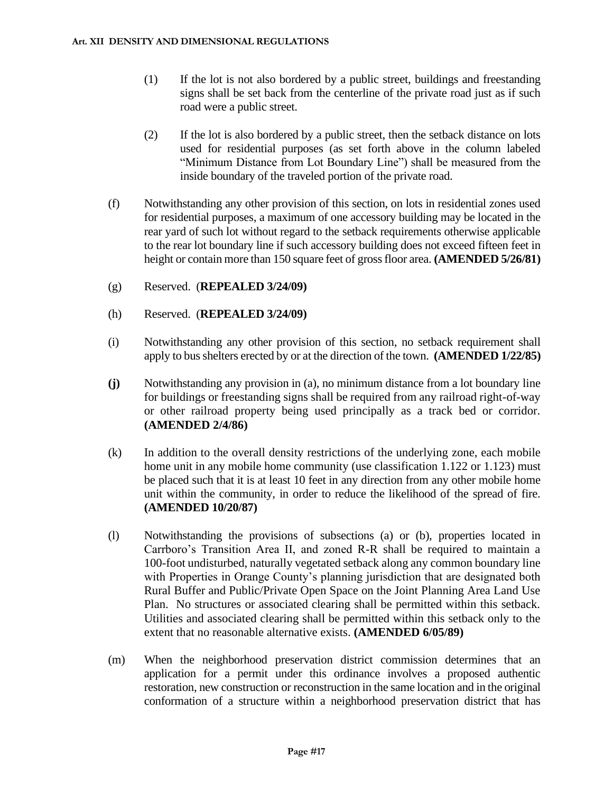- (1) If the lot is not also bordered by a public street, buildings and freestanding signs shall be set back from the centerline of the private road just as if such road were a public street.
- (2) If the lot is also bordered by a public street, then the setback distance on lots used for residential purposes (as set forth above in the column labeled "Minimum Distance from Lot Boundary Line") shall be measured from the inside boundary of the traveled portion of the private road.
- (f) Notwithstanding any other provision of this section, on lots in residential zones used for residential purposes, a maximum of one accessory building may be located in the rear yard of such lot without regard to the setback requirements otherwise applicable to the rear lot boundary line if such accessory building does not exceed fifteen feet in height or contain more than 150 square feet of gross floor area. **(AMENDED 5/26/81)**
- (g) Reserved. (**REPEALED 3/24/09)**
- (h) Reserved. (**REPEALED 3/24/09)**
- (i) Notwithstanding any other provision of this section, no setback requirement shall apply to bus shelters erected by or at the direction of the town. **(AMENDED 1/22/85)**
- **(j)** Notwithstanding any provision in (a), no minimum distance from a lot boundary line for buildings or freestanding signs shall be required from any railroad right-of-way or other railroad property being used principally as a track bed or corridor. **(AMENDED 2/4/86)**
- (k) In addition to the overall density restrictions of the underlying zone, each mobile home unit in any mobile home community (use classification 1.122 or 1.123) must be placed such that it is at least 10 feet in any direction from any other mobile home unit within the community, in order to reduce the likelihood of the spread of fire. **(AMENDED 10/20/87)**
- (l) Notwithstanding the provisions of subsections (a) or (b), properties located in Carrboro's Transition Area II, and zoned R-R shall be required to maintain a 100-foot undisturbed, naturally vegetated setback along any common boundary line with Properties in Orange County's planning jurisdiction that are designated both Rural Buffer and Public/Private Open Space on the Joint Planning Area Land Use Plan. No structures or associated clearing shall be permitted within this setback. Utilities and associated clearing shall be permitted within this setback only to the extent that no reasonable alternative exists. **(AMENDED 6/05/89)**
- (m) When the neighborhood preservation district commission determines that an application for a permit under this ordinance involves a proposed authentic restoration, new construction or reconstruction in the same location and in the original conformation of a structure within a neighborhood preservation district that has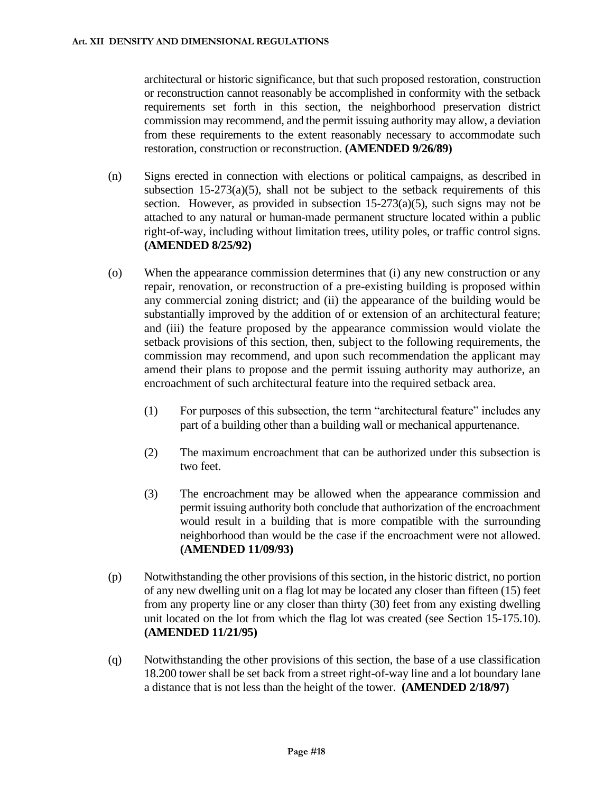architectural or historic significance, but that such proposed restoration, construction or reconstruction cannot reasonably be accomplished in conformity with the setback requirements set forth in this section, the neighborhood preservation district commission may recommend, and the permit issuing authority may allow, a deviation from these requirements to the extent reasonably necessary to accommodate such restoration, construction or reconstruction. **(AMENDED 9/26/89)**

- (n) Signs erected in connection with elections or political campaigns, as described in subsection  $15-273(a)(5)$ , shall not be subject to the setback requirements of this section. However, as provided in subsection 15-273(a)(5), such signs may not be attached to any natural or human-made permanent structure located within a public right-of-way, including without limitation trees, utility poles, or traffic control signs. **(AMENDED 8/25/92)**
- (o) When the appearance commission determines that (i) any new construction or any repair, renovation, or reconstruction of a pre-existing building is proposed within any commercial zoning district; and (ii) the appearance of the building would be substantially improved by the addition of or extension of an architectural feature; and (iii) the feature proposed by the appearance commission would violate the setback provisions of this section, then, subject to the following requirements, the commission may recommend, and upon such recommendation the applicant may amend their plans to propose and the permit issuing authority may authorize, an encroachment of such architectural feature into the required setback area.
	- (1) For purposes of this subsection, the term "architectural feature" includes any part of a building other than a building wall or mechanical appurtenance.
	- (2) The maximum encroachment that can be authorized under this subsection is two feet.
	- (3) The encroachment may be allowed when the appearance commission and permit issuing authority both conclude that authorization of the encroachment would result in a building that is more compatible with the surrounding neighborhood than would be the case if the encroachment were not allowed. **(AMENDED 11/09/93)**
- (p) Notwithstanding the other provisions of this section, in the historic district, no portion of any new dwelling unit on a flag lot may be located any closer than fifteen (15) feet from any property line or any closer than thirty (30) feet from any existing dwelling unit located on the lot from which the flag lot was created (see Section 15-175.10). **(AMENDED 11/21/95)**
- (q) Notwithstanding the other provisions of this section, the base of a use classification 18.200 tower shall be set back from a street right-of-way line and a lot boundary lane a distance that is not less than the height of the tower. **(AMENDED 2/18/97)**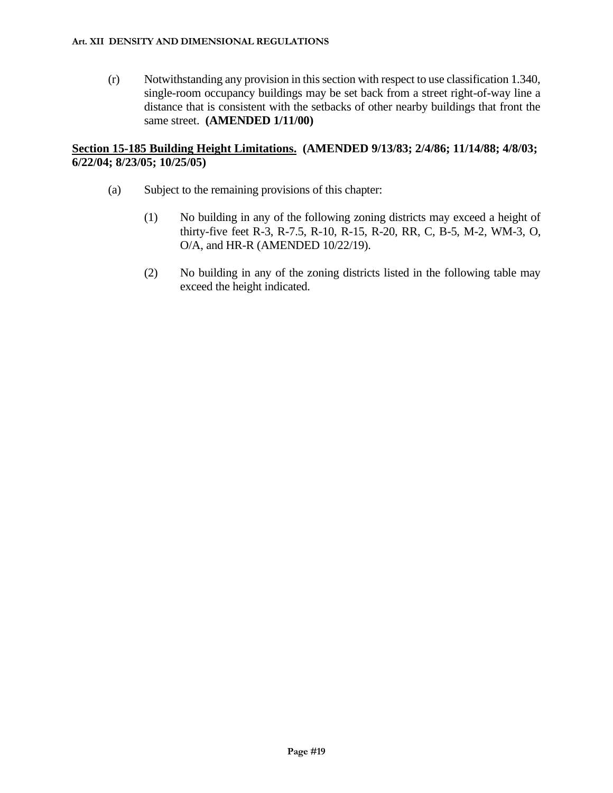(r) Notwithstanding any provision in this section with respect to use classification 1.340, single-room occupancy buildings may be set back from a street right-of-way line a distance that is consistent with the setbacks of other nearby buildings that front the same street. **(AMENDED 1/11/00)**

### **Section 15-185 Building Height Limitations. (AMENDED 9/13/83; 2/4/86; 11/14/88; 4/8/03; 6/22/04; 8/23/05; 10/25/05)**

- (a) Subject to the remaining provisions of this chapter:
	- (1) No building in any of the following zoning districts may exceed a height of thirty-five feet R-3, R-7.5, R-10, R-15, R-20, RR, C, B-5, M-2, WM-3, O, O/A, and HR-R (AMENDED 10/22/19).
	- (2) No building in any of the zoning districts listed in the following table may exceed the height indicated.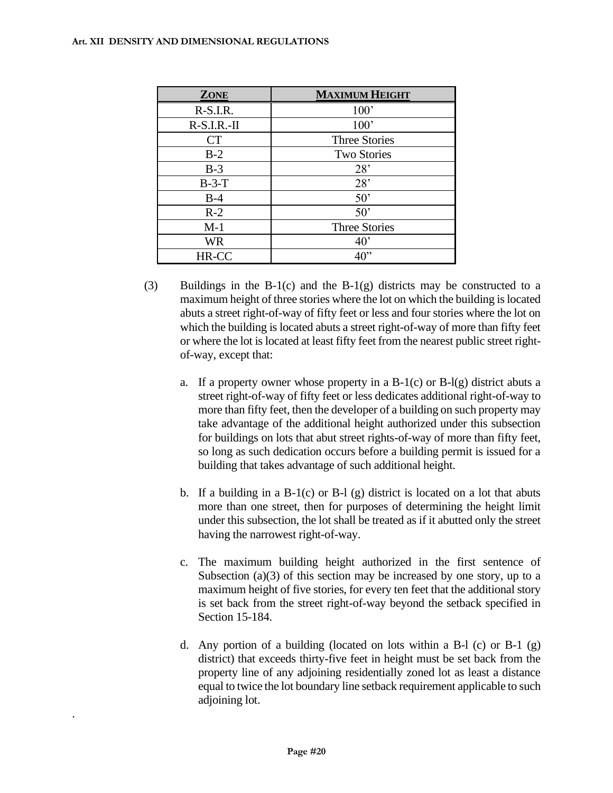| <b>ZONE</b>   | <b>MAXIMUM HEIGHT</b> |
|---------------|-----------------------|
| $R-S.I.R.$    | 100'                  |
| $R-S.I.R.-II$ | 100'                  |
| <b>CT</b>     | <b>Three Stories</b>  |
| $B-2$         | <b>Two Stories</b>    |
| $B-3$         | 28'                   |
| $B-3-T$       | 28'                   |
| $B-4$         | 50'                   |
| $R-2$         | 50'                   |
| $M-1$         | Three Stories         |
| <b>WR</b>     | $40^{\circ}$          |
| HR-CC         | $40$ "                |

- (3) Buildings in the B-1(c) and the B-1(g) districts may be constructed to a maximum height of three stories where the lot on which the building is located abuts a street right-of-way of fifty feet or less and four stories where the lot on which the building is located abuts a street right-of-way of more than fifty feet or where the lot is located at least fifty feet from the nearest public street rightof-way, except that:
	- a. If a property owner whose property in a  $B-1(c)$  or  $B-1(g)$  district abuts a street right-of-way of fifty feet or less dedicates additional right-of-way to more than fifty feet, then the developer of a building on such property may take advantage of the additional height authorized under this subsection for buildings on lots that abut street rights-of-way of more than fifty feet, so long as such dedication occurs before a building permit is issued for a building that takes advantage of such additional height.
	- b. If a building in a  $B-1(c)$  or  $B-1(g)$  district is located on a lot that abuts more than one street, then for purposes of determining the height limit under this subsection, the lot shall be treated as if it abutted only the street having the narrowest right-of-way.
	- c. The maximum building height authorized in the first sentence of Subsection (a)(3) of this section may be increased by one story, up to a maximum height of five stories, for every ten feet that the additional story is set back from the street right-of-way beyond the setback specified in Section 15-184.
	- d. Any portion of a building (located on lots within a B-1 (c) or B-1  $(g)$ district) that exceeds thirty-five feet in height must be set back from the property line of any adjoining residentially zoned lot as least a distance equal to twice the lot boundary line setback requirement applicable to such adjoining lot.

.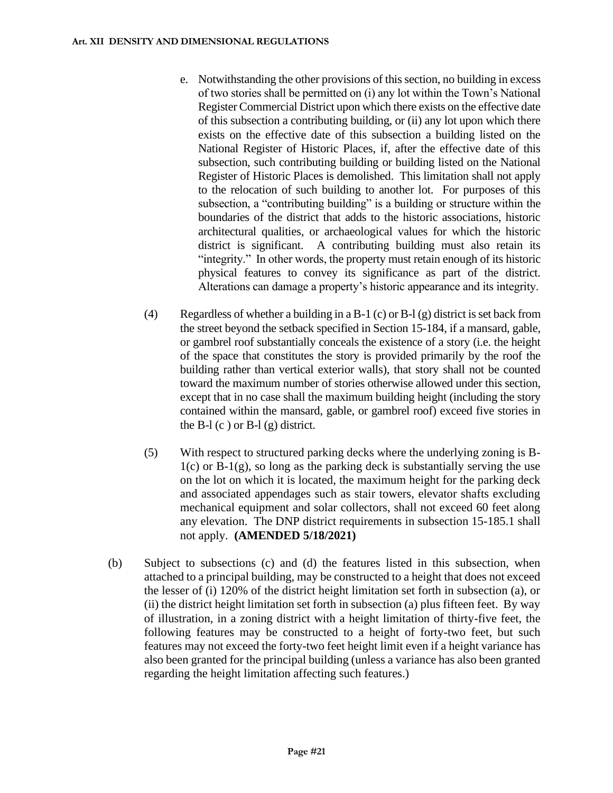- e. Notwithstanding the other provisions of this section, no building in excess of two stories shall be permitted on (i) any lot within the Town's National Register Commercial District upon which there exists on the effective date of this subsection a contributing building, or (ii) any lot upon which there exists on the effective date of this subsection a building listed on the National Register of Historic Places, if, after the effective date of this subsection, such contributing building or building listed on the National Register of Historic Places is demolished. This limitation shall not apply to the relocation of such building to another lot. For purposes of this subsection, a "contributing building" is a building or structure within the boundaries of the district that adds to the historic associations, historic architectural qualities, or archaeological values for which the historic district is significant. A contributing building must also retain its "integrity." In other words, the property must retain enough of its historic physical features to convey its significance as part of the district. Alterations can damage a property's historic appearance and its integrity.
- (4) Regardless of whether a building in a B-1 (c) or B-1 (g) district is set back from the street beyond the setback specified in Section 15-184, if a mansard, gable, or gambrel roof substantially conceals the existence of a story (i.e. the height of the space that constitutes the story is provided primarily by the roof the building rather than vertical exterior walls), that story shall not be counted toward the maximum number of stories otherwise allowed under this section, except that in no case shall the maximum building height (including the story contained within the mansard, gable, or gambrel roof) exceed five stories in the B-l  $(c)$  or B-l  $(g)$  district.
- (5) With respect to structured parking decks where the underlying zoning is B- $1(c)$  or B-1(g), so long as the parking deck is substantially serving the use on the lot on which it is located, the maximum height for the parking deck and associated appendages such as stair towers, elevator shafts excluding mechanical equipment and solar collectors, shall not exceed 60 feet along any elevation. The DNP district requirements in subsection 15-185.1 shall not apply. **(AMENDED 5/18/2021)**
- (b) Subject to subsections (c) and (d) the features listed in this subsection, when attached to a principal building, may be constructed to a height that does not exceed the lesser of (i) 120% of the district height limitation set forth in subsection (a), or (ii) the district height limitation set forth in subsection (a) plus fifteen feet. By way of illustration, in a zoning district with a height limitation of thirty-five feet, the following features may be constructed to a height of forty-two feet, but such features may not exceed the forty-two feet height limit even if a height variance has also been granted for the principal building (unless a variance has also been granted regarding the height limitation affecting such features.)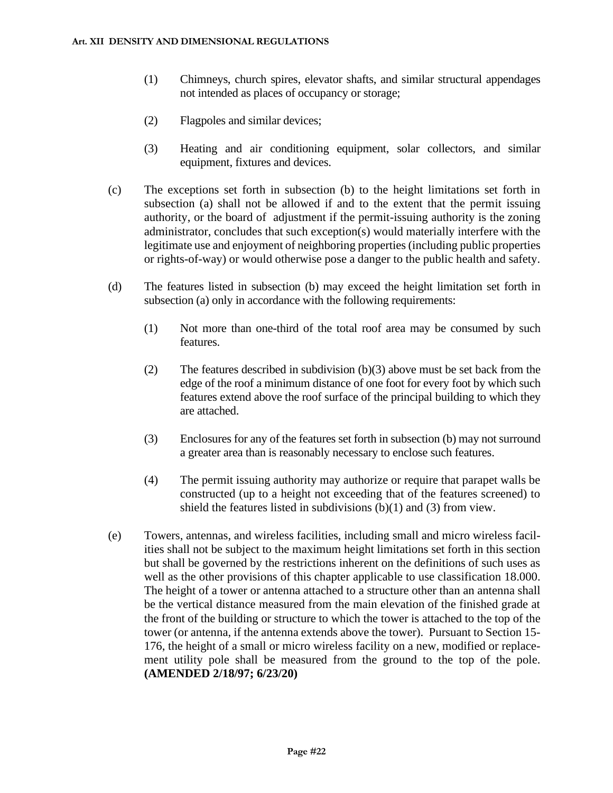- (1) Chimneys, church spires, elevator shafts, and similar structural appendages not intended as places of occupancy or storage;
- (2) Flagpoles and similar devices;
- (3) Heating and air conditioning equipment, solar collectors, and similar equipment, fixtures and devices.
- (c) The exceptions set forth in subsection (b) to the height limitations set forth in subsection (a) shall not be allowed if and to the extent that the permit issuing authority, or the board of adjustment if the permit-issuing authority is the zoning administrator, concludes that such exception(s) would materially interfere with the legitimate use and enjoyment of neighboring properties (including public properties or rights-of-way) or would otherwise pose a danger to the public health and safety.
- (d) The features listed in subsection (b) may exceed the height limitation set forth in subsection (a) only in accordance with the following requirements:
	- (1) Not more than one-third of the total roof area may be consumed by such features.
	- (2) The features described in subdivision (b)(3) above must be set back from the edge of the roof a minimum distance of one foot for every foot by which such features extend above the roof surface of the principal building to which they are attached.
	- (3) Enclosures for any of the features set forth in subsection (b) may not surround a greater area than is reasonably necessary to enclose such features.
	- (4) The permit issuing authority may authorize or require that parapet walls be constructed (up to a height not exceeding that of the features screened) to shield the features listed in subdivisions (b)(1) and (3) from view.
- (e) Towers, antennas, and wireless facilities, including small and micro wireless facilities shall not be subject to the maximum height limitations set forth in this section but shall be governed by the restrictions inherent on the definitions of such uses as well as the other provisions of this chapter applicable to use classification 18.000. The height of a tower or antenna attached to a structure other than an antenna shall be the vertical distance measured from the main elevation of the finished grade at the front of the building or structure to which the tower is attached to the top of the tower (or antenna, if the antenna extends above the tower). Pursuant to Section 15- 176, the height of a small or micro wireless facility on a new, modified or replacement utility pole shall be measured from the ground to the top of the pole. **(AMENDED 2/18/97; 6/23/20)**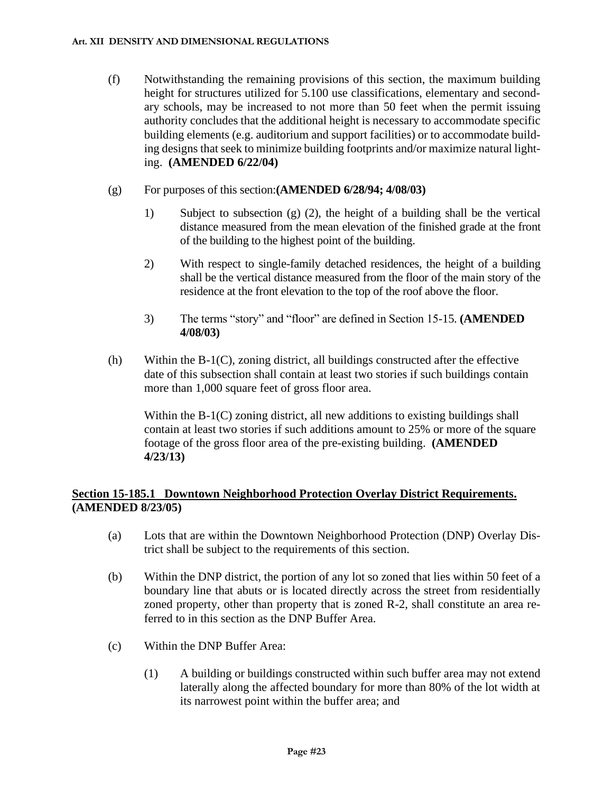- (f) Notwithstanding the remaining provisions of this section, the maximum building height for structures utilized for 5.100 use classifications, elementary and secondary schools, may be increased to not more than 50 feet when the permit issuing authority concludes that the additional height is necessary to accommodate specific building elements (e.g. auditorium and support facilities) or to accommodate building designs that seek to minimize building footprints and/or maximize natural lighting. **(AMENDED 6/22/04)**
- (g) For purposes of this section:**(AMENDED 6/28/94; 4/08/03)**
	- 1) Subject to subsection (g) (2), the height of a building shall be the vertical distance measured from the mean elevation of the finished grade at the front of the building to the highest point of the building.
	- 2) With respect to single-family detached residences, the height of a building shall be the vertical distance measured from the floor of the main story of the residence at the front elevation to the top of the roof above the floor.
	- 3) The terms "story" and "floor" are defined in Section 15-15. **(AMENDED 4/08/03)**
- (h) Within the B-1(C), zoning district, all buildings constructed after the effective date of this subsection shall contain at least two stories if such buildings contain more than 1,000 square feet of gross floor area.

Within the B-1(C) zoning district, all new additions to existing buildings shall contain at least two stories if such additions amount to 25% or more of the square footage of the gross floor area of the pre-existing building. **(AMENDED 4/23/13)**

## **Section 15-185.1 Downtown Neighborhood Protection Overlay District Requirements. (AMENDED 8/23/05)**

- (a) Lots that are within the Downtown Neighborhood Protection (DNP) Overlay District shall be subject to the requirements of this section.
- (b) Within the DNP district, the portion of any lot so zoned that lies within 50 feet of a boundary line that abuts or is located directly across the street from residentially zoned property, other than property that is zoned R-2, shall constitute an area referred to in this section as the DNP Buffer Area.
- (c) Within the DNP Buffer Area:
	- (1) A building or buildings constructed within such buffer area may not extend laterally along the affected boundary for more than 80% of the lot width at its narrowest point within the buffer area; and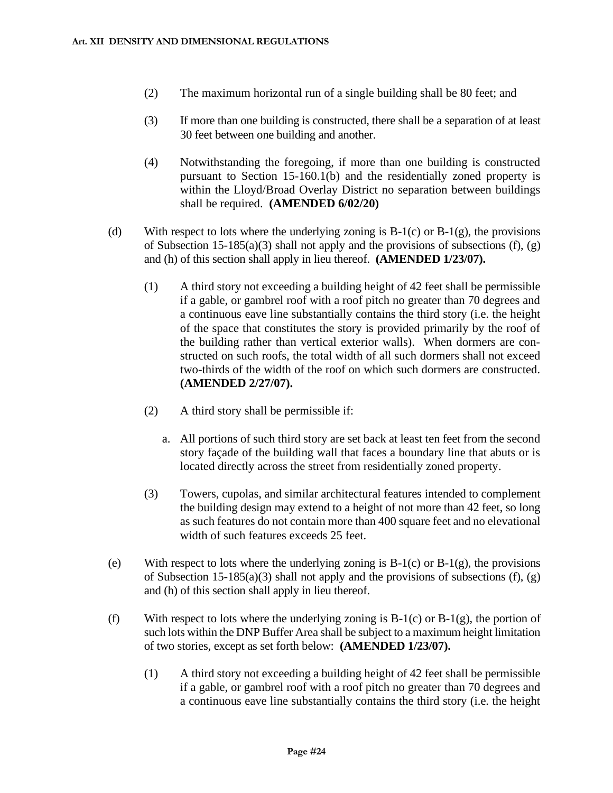- (2) The maximum horizontal run of a single building shall be 80 feet; and
- (3) If more than one building is constructed, there shall be a separation of at least 30 feet between one building and another.
- (4) Notwithstanding the foregoing, if more than one building is constructed pursuant to Section 15-160.1(b) and the residentially zoned property is within the Lloyd/Broad Overlay District no separation between buildings shall be required. **(AMENDED 6/02/20)**
- (d) With respect to lots where the underlying zoning is  $B-1(c)$  or  $B-1(g)$ , the provisions of Subsection 15-185(a)(3) shall not apply and the provisions of subsections (f),  $(g)$ and (h) of this section shall apply in lieu thereof. **(AMENDED 1/23/07).**
	- (1) A third story not exceeding a building height of 42 feet shall be permissible if a gable, or gambrel roof with a roof pitch no greater than 70 degrees and a continuous eave line substantially contains the third story (i.e. the height of the space that constitutes the story is provided primarily by the roof of the building rather than vertical exterior walls). When dormers are constructed on such roofs, the total width of all such dormers shall not exceed two-thirds of the width of the roof on which such dormers are constructed. **(AMENDED 2/27/07).**
	- (2) A third story shall be permissible if:
		- a. All portions of such third story are set back at least ten feet from the second story façade of the building wall that faces a boundary line that abuts or is located directly across the street from residentially zoned property.
	- (3) Towers, cupolas, and similar architectural features intended to complement the building design may extend to a height of not more than 42 feet, so long as such features do not contain more than 400 square feet and no elevational width of such features exceeds 25 feet.
- (e) With respect to lots where the underlying zoning is  $B-1(c)$  or  $B-1(g)$ , the provisions of Subsection  $15-185(a)(3)$  shall not apply and the provisions of subsections (f), (g) and (h) of this section shall apply in lieu thereof.
- (f) With respect to lots where the underlying zoning is  $B-1(c)$  or  $B-1(g)$ , the portion of such lots within the DNP Buffer Area shall be subject to a maximum height limitation of two stories, except as set forth below: **(AMENDED 1/23/07).**
	- (1) A third story not exceeding a building height of 42 feet shall be permissible if a gable, or gambrel roof with a roof pitch no greater than 70 degrees and a continuous eave line substantially contains the third story (i.e. the height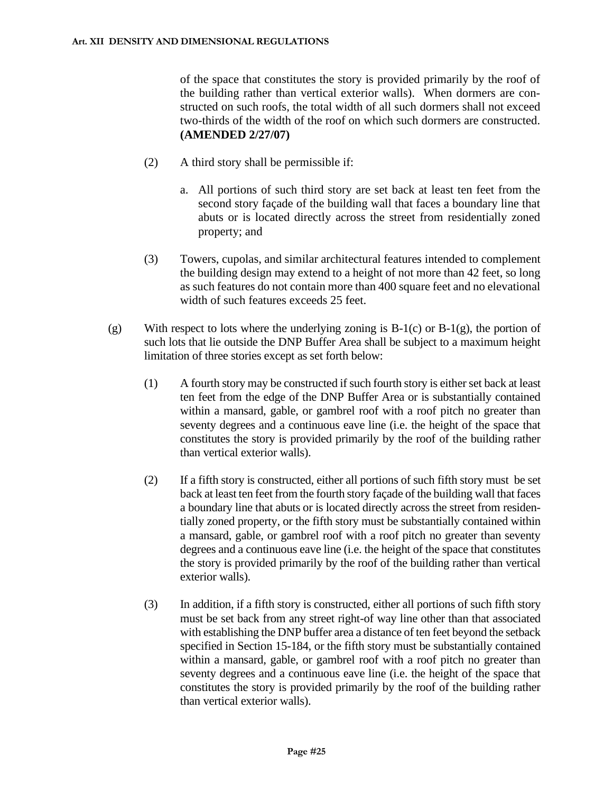of the space that constitutes the story is provided primarily by the roof of the building rather than vertical exterior walls). When dormers are constructed on such roofs, the total width of all such dormers shall not exceed two-thirds of the width of the roof on which such dormers are constructed. **(AMENDED 2/27/07)**

- (2) A third story shall be permissible if:
	- a. All portions of such third story are set back at least ten feet from the second story façade of the building wall that faces a boundary line that abuts or is located directly across the street from residentially zoned property; and
- (3) Towers, cupolas, and similar architectural features intended to complement the building design may extend to a height of not more than 42 feet, so long as such features do not contain more than 400 square feet and no elevational width of such features exceeds 25 feet.
- (g) With respect to lots where the underlying zoning is  $B-1(c)$  or  $B-1(g)$ , the portion of such lots that lie outside the DNP Buffer Area shall be subject to a maximum height limitation of three stories except as set forth below:
	- $(1)$  A fourth story may be constructed if such fourth story is either set back at least ten feet from the edge of the DNP Buffer Area or is substantially contained within a mansard, gable, or gambrel roof with a roof pitch no greater than seventy degrees and a continuous eave line (i.e. the height of the space that constitutes the story is provided primarily by the roof of the building rather than vertical exterior walls).
	- (2) If a fifth story is constructed, either all portions of such fifth story must be set back at least ten feet from the fourth story façade of the building wall that faces a boundary line that abuts or is located directly across the street from residentially zoned property, or the fifth story must be substantially contained within a mansard, gable, or gambrel roof with a roof pitch no greater than seventy degrees and a continuous eave line (i.e. the height of the space that constitutes the story is provided primarily by the roof of the building rather than vertical exterior walls).
	- (3) In addition, if a fifth story is constructed, either all portions of such fifth story must be set back from any street right-of way line other than that associated with establishing the DNP buffer area a distance of ten feet beyond the setback specified in Section 15-184, or the fifth story must be substantially contained within a mansard, gable, or gambrel roof with a roof pitch no greater than seventy degrees and a continuous eave line (i.e. the height of the space that constitutes the story is provided primarily by the roof of the building rather than vertical exterior walls).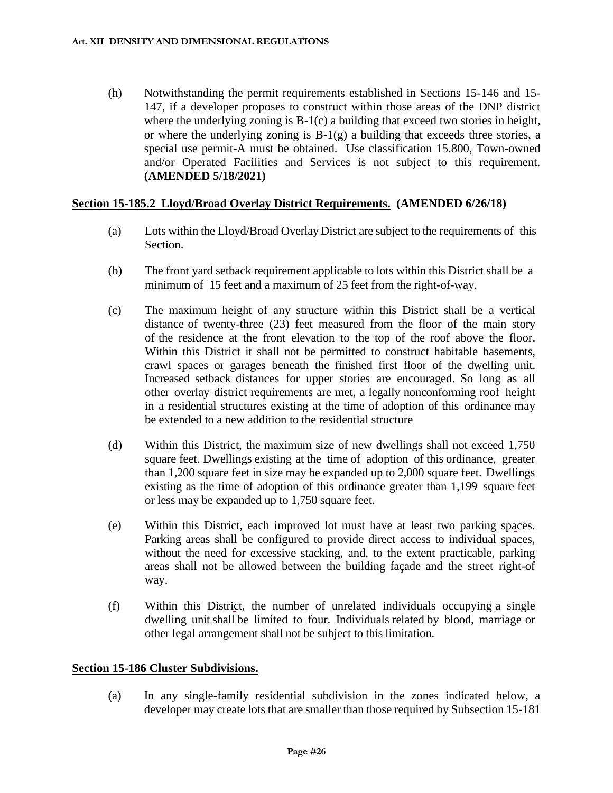(h) Notwithstanding the permit requirements established in Sections 15-146 and 15- 147, if a developer proposes to construct within those areas of the DNP district where the underlying zoning is B-1(c) a building that exceed two stories in height, or where the underlying zoning is  $B-1(g)$  a building that exceeds three stories, a special use permit-A must be obtained. Use classification 15.800, Town-owned and/or Operated Facilities and Services is not subject to this requirement. **(AMENDED 5/18/2021)**

#### **Section 15-185.2 Lloyd/Broad Overlay District Requirements. (AMENDED 6/26/18)**

- (a) Lots within the Lloyd/Broad Overlay District are subject to the requirements of this Section.
- (b) The front yard setback requirement applicable to lots within this District shall be a minimum of 15 feet and a maximum of 25 feet from the right-of-way.
- (c) The maximum height of any structure within this District shall be a vertical distance of twenty-three (23) feet measured from the floor of the main story of the residence at the front elevation to the top of the roof above the floor. Within this District it shall not be permitted to construct habitable basements, crawl spaces or garages beneath the finished first floor of the dwelling unit. Increased setback distances for upper stories are encouraged. So long as all other overlay district requirements are met, a legally nonconforming roof height in a residential structures existing at the time of adoption of this ordinance may be extended to a new addition to the residential structure
- (d) Within this District, the maximum size of new dwellings shall not exceed 1,750 square feet. Dwellings existing at the time of adoption of this ordinance, greater than 1,200 square feet in size may be expanded up to 2,000 square feet. Dwellings existing as the time of adoption of this ordinance greater than 1,199 square feet or less may be expanded up to 1,750 square feet.
- (e) Within this District, each improved lot must have at least two parking spaces. Parking areas shall be configured to provide direct access to individual spaces, without the need for excessive stacking, and, to the extent practicable, parking areas shall not be allowed between the building façade and the street right-of way.
- (f) Within this District, the number of unrelated individuals occupying a single dwelling unit shall be limited to four. Individuals related by blood, marriage or other legal arrangement shall not be subject to this limitation.

#### **Section 15-186 Cluster Subdivisions.**

(a) In any single-family residential subdivision in the zones indicated below, a developer may create lots that are smaller than those required by Subsection 15-181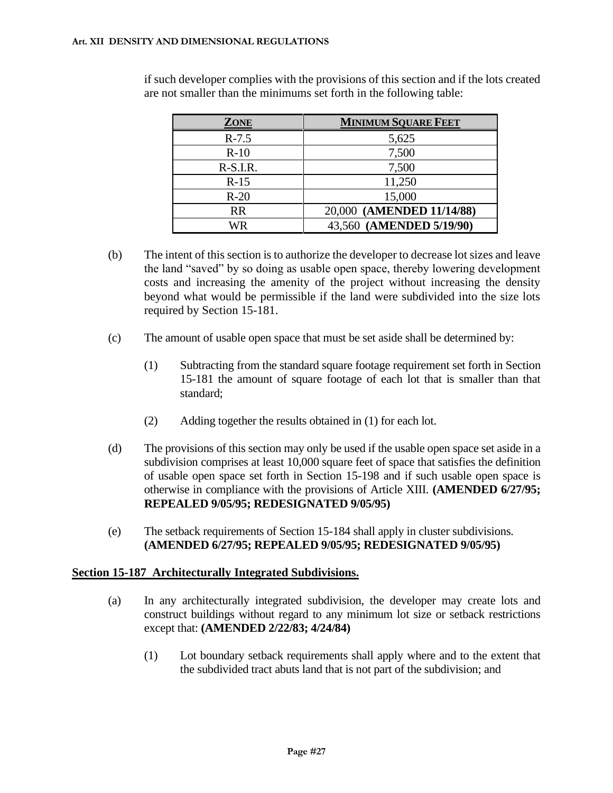| <b>ZONE</b> | <b>MINIMUM SQUARE FEET</b> |
|-------------|----------------------------|
| $R-7.5$     | 5,625                      |
| $R-10$      | 7,500                      |
| $R-S.I.R.$  | 7,500                      |
| $R-15$      | 11,250                     |
| $R-20$      | 15,000                     |
| <b>RR</b>   | 20,000 (AMENDED 11/14/88)  |
| WR          | 43,560 (AMENDED 5/19/90)   |

if such developer complies with the provisions of this section and if the lots created are not smaller than the minimums set forth in the following table:

- (b) The intent of this section is to authorize the developer to decrease lot sizes and leave the land "saved" by so doing as usable open space, thereby lowering development costs and increasing the amenity of the project without increasing the density beyond what would be permissible if the land were subdivided into the size lots required by Section 15-181.
- (c) The amount of usable open space that must be set aside shall be determined by:
	- (1) Subtracting from the standard square footage requirement set forth in Section 15-181 the amount of square footage of each lot that is smaller than that standard;
	- (2) Adding together the results obtained in (1) for each lot.
- (d) The provisions of this section may only be used if the usable open space set aside in a subdivision comprises at least 10,000 square feet of space that satisfies the definition of usable open space set forth in Section 15-198 and if such usable open space is otherwise in compliance with the provisions of Article XIII. **(AMENDED 6/27/95; REPEALED 9/05/95; REDESIGNATED 9/05/95)**
- (e) The setback requirements of Section 15-184 shall apply in cluster subdivisions. **(AMENDED 6/27/95; REPEALED 9/05/95; REDESIGNATED 9/05/95)**

### **Section 15-187 Architecturally Integrated Subdivisions.**

- (a) In any architecturally integrated subdivision, the developer may create lots and construct buildings without regard to any minimum lot size or setback restrictions except that: **(AMENDED 2/22/83; 4/24/84)**
	- (1) Lot boundary setback requirements shall apply where and to the extent that the subdivided tract abuts land that is not part of the subdivision; and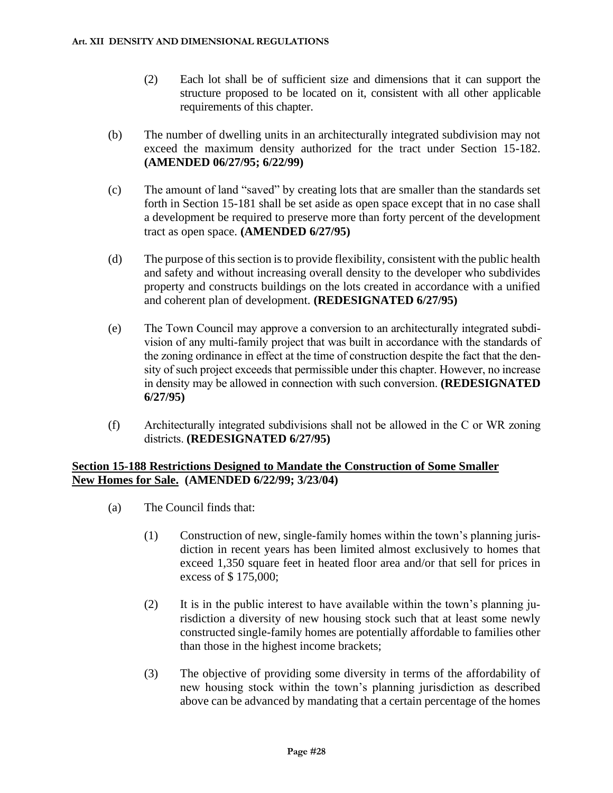- (2) Each lot shall be of sufficient size and dimensions that it can support the structure proposed to be located on it, consistent with all other applicable requirements of this chapter.
- (b) The number of dwelling units in an architecturally integrated subdivision may not exceed the maximum density authorized for the tract under Section 15-182. **(AMENDED 06/27/95; 6/22/99)**
- (c) The amount of land "saved" by creating lots that are smaller than the standards set forth in Section 15-181 shall be set aside as open space except that in no case shall a development be required to preserve more than forty percent of the development tract as open space. **(AMENDED 6/27/95)**
- (d) The purpose of this section is to provide flexibility, consistent with the public health and safety and without increasing overall density to the developer who subdivides property and constructs buildings on the lots created in accordance with a unified and coherent plan of development. **(REDESIGNATED 6/27/95)**
- (e) The Town Council may approve a conversion to an architecturally integrated subdivision of any multi-family project that was built in accordance with the standards of the zoning ordinance in effect at the time of construction despite the fact that the density of such project exceeds that permissible under this chapter. However, no increase in density may be allowed in connection with such conversion. **(REDESIGNATED 6/27/95)**
- (f) Architecturally integrated subdivisions shall not be allowed in the C or WR zoning districts. **(REDESIGNATED 6/27/95)**

## **Section 15-188 Restrictions Designed to Mandate the Construction of Some Smaller New Homes for Sale. (AMENDED 6/22/99; 3/23/04)**

- (a) The Council finds that:
	- (1) Construction of new, single-family homes within the town's planning jurisdiction in recent years has been limited almost exclusively to homes that exceed 1,350 square feet in heated floor area and/or that sell for prices in excess of \$ 175,000;
	- (2) It is in the public interest to have available within the town's planning jurisdiction a diversity of new housing stock such that at least some newly constructed single-family homes are potentially affordable to families other than those in the highest income brackets;
	- (3) The objective of providing some diversity in terms of the affordability of new housing stock within the town's planning jurisdiction as described above can be advanced by mandating that a certain percentage of the homes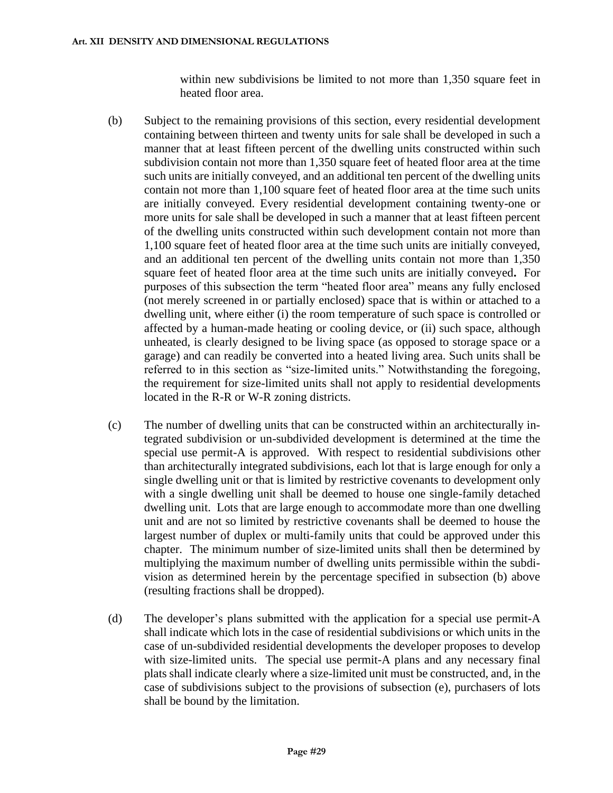within new subdivisions be limited to not more than 1,350 square feet in heated floor area.

- (b) Subject to the remaining provisions of this section, every residential development containing between thirteen and twenty units for sale shall be developed in such a manner that at least fifteen percent of the dwelling units constructed within such subdivision contain not more than 1,350 square feet of heated floor area at the time such units are initially conveyed, and an additional ten percent of the dwelling units contain not more than 1,100 square feet of heated floor area at the time such units are initially conveyed. Every residential development containing twenty-one or more units for sale shall be developed in such a manner that at least fifteen percent of the dwelling units constructed within such development contain not more than 1,100 square feet of heated floor area at the time such units are initially conveyed, and an additional ten percent of the dwelling units contain not more than 1,350 square feet of heated floor area at the time such units are initially conveyed**.** For purposes of this subsection the term "heated floor area" means any fully enclosed (not merely screened in or partially enclosed) space that is within or attached to a dwelling unit, where either (i) the room temperature of such space is controlled or affected by a human-made heating or cooling device, or (ii) such space, although unheated, is clearly designed to be living space (as opposed to storage space or a garage) and can readily be converted into a heated living area. Such units shall be referred to in this section as "size-limited units." Notwithstanding the foregoing, the requirement for size-limited units shall not apply to residential developments located in the R-R or W-R zoning districts.
- (c) The number of dwelling units that can be constructed within an architecturally integrated subdivision or un-subdivided development is determined at the time the special use permit-A is approved. With respect to residential subdivisions other than architecturally integrated subdivisions, each lot that is large enough for only a single dwelling unit or that is limited by restrictive covenants to development only with a single dwelling unit shall be deemed to house one single-family detached dwelling unit. Lots that are large enough to accommodate more than one dwelling unit and are not so limited by restrictive covenants shall be deemed to house the largest number of duplex or multi-family units that could be approved under this chapter. The minimum number of size-limited units shall then be determined by multiplying the maximum number of dwelling units permissible within the subdivision as determined herein by the percentage specified in subsection (b) above (resulting fractions shall be dropped).
- (d) The developer's plans submitted with the application for a special use permit-A shall indicate which lots in the case of residential subdivisions or which units in the case of un-subdivided residential developments the developer proposes to develop with size-limited units. The special use permit-A plans and any necessary final plats shall indicate clearly where a size-limited unit must be constructed, and, in the case of subdivisions subject to the provisions of subsection (e), purchasers of lots shall be bound by the limitation.